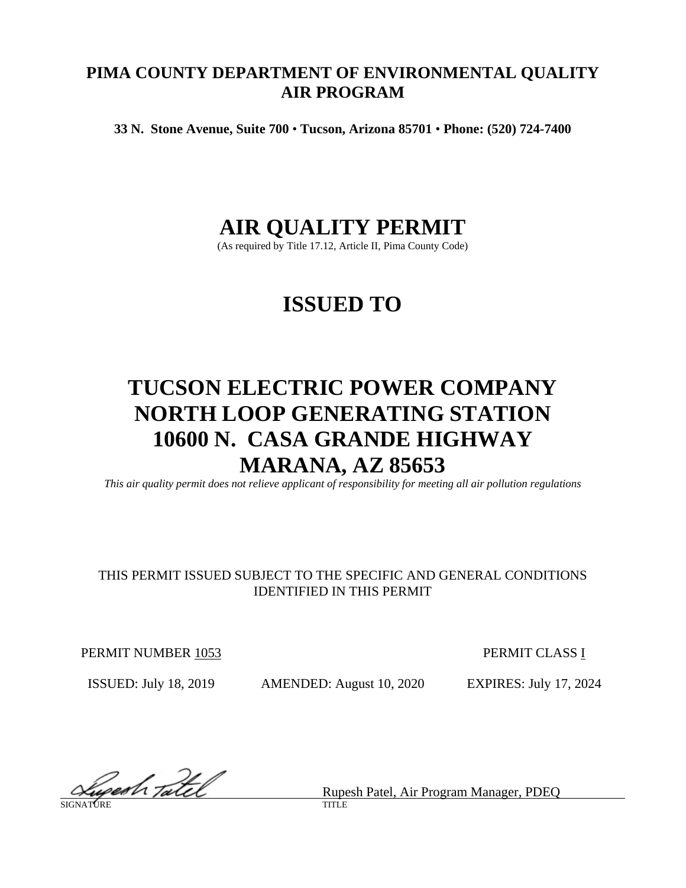# **PIMA COUNTY DEPARTMENT OF ENVIRONMENTAL QUALITY AIR PROGRAM**

**33 N. Stone Avenue, Suite 700** • **Tucson, Arizona 85701** • **Phone: (520) 724-7400**

# **AIR QUALITY PERMIT**

(As required by Title 17.12, Article II, Pima County Code)

# **ISSUED TO**

# **TUCSON ELECTRIC POWER COMPANY NORTH LOOP GENERATING STATION 10600 N. CASA GRANDE HIGHWAY MARANA, AZ 85653**

*This air quality permit does not relieve applicant of responsibility for meeting all air pollution regulations*

# THIS PERMIT ISSUED SUBJECT TO THE SPECIFIC AND GENERAL CONDITIONS IDENTIFIED IN THIS PERMIT

PERMIT NUMBER 1053 PERMIT CLASS I

ISSUED: July 18, 2019 AMENDED: August 10, 2020 EXPIRES: July 17, 2024

Rupesh Patel, Air Program Manager, PDEQ

SIGNATURE TITLE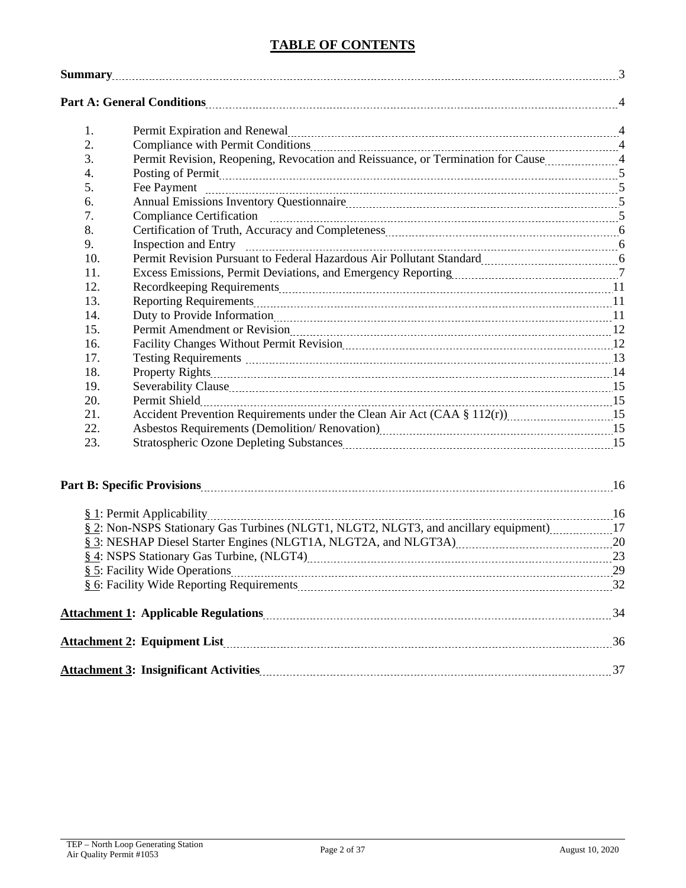# **TABLE OF CONTENTS**

| <b>Summary</b> 23 |                                                                                                                                                                                                                                |  |
|-------------------|--------------------------------------------------------------------------------------------------------------------------------------------------------------------------------------------------------------------------------|--|
|                   |                                                                                                                                                                                                                                |  |
| 1.                | Permit Expiration and Renewal material contracts and the Renewal Manuscriterium and A                                                                                                                                          |  |
| 2.                |                                                                                                                                                                                                                                |  |
| 3.                | Permit Revision, Reopening, Revocation and Reissuance, or Termination for Cause 4                                                                                                                                              |  |
| 4.                | Posting of Permit 55 and 200 minutes are the contract of Permit 5 and 200 minutes are the contract of the contract of the contract of the contract of the contract of the contract of the contract of the contract of the cont |  |
| 5.                |                                                                                                                                                                                                                                |  |
| 6.                |                                                                                                                                                                                                                                |  |
| 7.                |                                                                                                                                                                                                                                |  |
| 8.                |                                                                                                                                                                                                                                |  |
| 9.                |                                                                                                                                                                                                                                |  |
| 10.               | Permit Revision Pursuant to Federal Hazardous Air Pollutant Standard [111] [11] Revision Pursuant to Federal Hazardous Air Pollutant Standard                                                                                  |  |
| 11.               | Excess Emissions, Permit Deviations, and Emergency Reporting [11, 2011] [12, 2014] [7]                                                                                                                                         |  |
| 12.               |                                                                                                                                                                                                                                |  |
| 13.               |                                                                                                                                                                                                                                |  |
| 14.               |                                                                                                                                                                                                                                |  |
| 15.               |                                                                                                                                                                                                                                |  |
| 16.               | Facility Changes Without Permit Revision [10] The Resonance Changes Without Permit Revision [12] The Revision                                                                                                                  |  |
| 17.               |                                                                                                                                                                                                                                |  |
| 18.               |                                                                                                                                                                                                                                |  |
| 19.               |                                                                                                                                                                                                                                |  |
| 20.               |                                                                                                                                                                                                                                |  |
| 21.               |                                                                                                                                                                                                                                |  |
| 22.               |                                                                                                                                                                                                                                |  |
| 23.               | Stratospheric Ozone Depleting Substances [11] All and the University of the US and the US and the US and the U                                                                                                                 |  |
|                   |                                                                                                                                                                                                                                |  |
|                   |                                                                                                                                                                                                                                |  |
|                   | § 2: Non-NSPS Stationary Gas Turbines (NLGT1, NLGT2, NLGT3, and ancillary equipment)17                                                                                                                                         |  |
|                   | § 3: NESHAP Diesel Starter Engines (NLGT1A, NLGT2A, and NLGT3A) 20                                                                                                                                                             |  |
|                   | 8.4: NSPS Stationary Gas Turbine, (NLGT4) 23                                                                                                                                                                                   |  |
|                   |                                                                                                                                                                                                                                |  |
|                   |                                                                                                                                                                                                                                |  |
|                   |                                                                                                                                                                                                                                |  |
|                   |                                                                                                                                                                                                                                |  |
|                   |                                                                                                                                                                                                                                |  |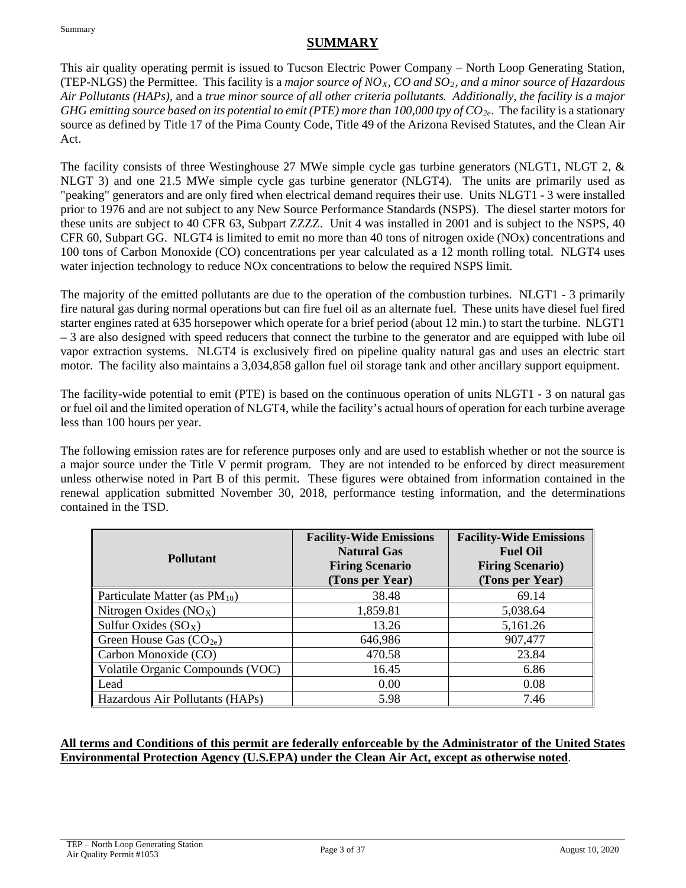Summary

# **SUMMARY**

This air quality operating permit is issued to Tucson Electric Power Company – North Loop Generating Station, (TEP-NLGS) the Permittee. This facility is a *major source of NOX, CO and SO2, and a minor source of Hazardous Air Pollutants (HAPs),* and a *true minor source of all other criteria pollutants. Additionally, the facility is a major GHG emitting source based on its potential to emit (PTE) more than 100,000 tpy of*  $CO_{2e}$ *. The facility is a stationary* source as defined by Title 17 of the Pima County Code, Title 49 of the Arizona Revised Statutes, and the Clean Air Act.

The facility consists of three Westinghouse 27 MWe simple cycle gas turbine generators (NLGT1, NLGT 2, & NLGT 3) and one 21.5 MWe simple cycle gas turbine generator (NLGT4). The units are primarily used as "peaking" generators and are only fired when electrical demand requires their use. Units NLGT1 - 3 were installed prior to 1976 and are not subject to any New Source Performance Standards (NSPS). The diesel starter motors for these units are subject to 40 CFR 63, Subpart ZZZZ. Unit 4 was installed in 2001 and is subject to the NSPS, 40 CFR 60, Subpart GG. NLGT4 is limited to emit no more than 40 tons of nitrogen oxide (NOx) concentrations and 100 tons of Carbon Monoxide (CO) concentrations per year calculated as a 12 month rolling total. NLGT4 uses water injection technology to reduce NOx concentrations to below the required NSPS limit.

The majority of the emitted pollutants are due to the operation of the combustion turbines. NLGT1 - 3 primarily fire natural gas during normal operations but can fire fuel oil as an alternate fuel. These units have diesel fuel fired starter engines rated at 635 horsepower which operate for a brief period (about 12 min.) to start the turbine. NLGT1 – 3 are also designed with speed reducers that connect the turbine to the generator and are equipped with lube oil vapor extraction systems. NLGT4 is exclusively fired on pipeline quality natural gas and uses an electric start motor. The facility also maintains a 3,034,858 gallon fuel oil storage tank and other ancillary support equipment.

The facility-wide potential to emit (PTE) is based on the continuous operation of units NLGT1 - 3 on natural gas or fuel oil and the limited operation of NLGT4, while the facility's actual hours of operation for each turbine average less than 100 hours per year.

The following emission rates are for reference purposes only and are used to establish whether or not the source is a major source under the Title V permit program. They are not intended to be enforced by direct measurement unless otherwise noted in Part B of this permit. These figures were obtained from information contained in the renewal application submitted November 30, 2018, performance testing information, and the determinations contained in the TSD.

| <b>Pollutant</b>                          | <b>Facility-Wide Emissions</b><br><b>Natural Gas</b><br><b>Firing Scenario</b><br>(Tons per Year) | <b>Facility-Wide Emissions</b><br><b>Fuel Oil</b><br><b>Firing Scenario)</b><br>(Tons per Year) |
|-------------------------------------------|---------------------------------------------------------------------------------------------------|-------------------------------------------------------------------------------------------------|
| Particulate Matter (as PM <sub>10</sub> ) | 38.48                                                                                             | 69.14                                                                                           |
| Nitrogen Oxides $(NOX)$                   | 1,859.81                                                                                          | 5,038.64                                                                                        |
| Sulfur Oxides $(SO_X)$                    | 13.26                                                                                             | 5,161.26                                                                                        |
| Green House Gas $(CO_{2e})$               | 646,986                                                                                           | 907,477                                                                                         |
| Carbon Monoxide (CO)                      | 470.58                                                                                            | 23.84                                                                                           |
| Volatile Organic Compounds (VOC)          | 16.45                                                                                             | 6.86                                                                                            |
| Lead                                      | 0.00                                                                                              | 0.08                                                                                            |
| Hazardous Air Pollutants (HAPs)           | 5.98                                                                                              | 7.46                                                                                            |

### **All terms and Conditions of this permit are federally enforceable by the Administrator of the United States Environmental Protection Agency (U.S.EPA) under the Clean Air Act, except as otherwise noted**.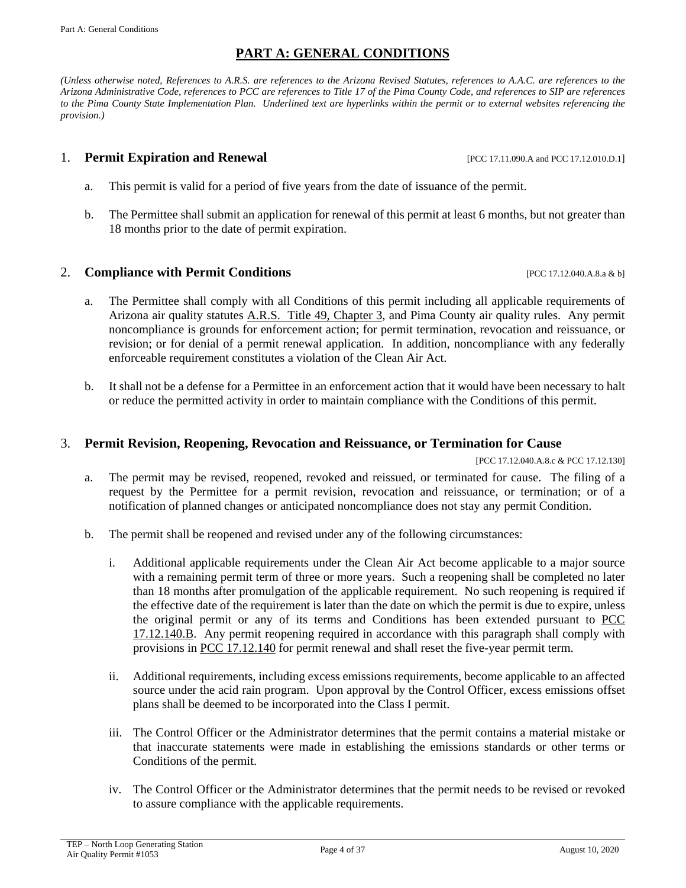### **PART A: GENERAL CONDITIONS**

*(Unless otherwise noted, References to A.R.S. are references to the Arizona Revised Statutes, references to A.A.C. are references to the Arizona Administrative Code, references to PCC are references to Title 17 of the Pima County Code, and references to SIP are references to the Pima County State Implementation Plan. Underlined text are hyperlinks within the permit or to external websites referencing the provision.)*

#### **1. Permit Expiration and Renewal** [PCC 17.11.090.A and PCC 17.12.010.D.1]

- a. This permit is valid for a period of five years from the date of issuance of the permit.
- b. The Permittee shall submit an application for renewal of this permit at least 6 months, but not greater than 18 months prior to the date of permit expiration.

#### **2. Compliance with Permit Conditions Example 2. Compliance with Permit Conditions [PCC 17.12.040.A.8.a & b]**

- a. The Permittee shall comply with all Conditions of this permit including all applicable requirements of Arizona air quality statutes [A.R.S. Title 49, Chapter 3,](https://www.azleg.gov/arsDetail/?title=49) and Pima County air quality rules. Any permit noncompliance is grounds for enforcement action; for permit termination, revocation and reissuance, or revision; or for denial of a permit renewal application. In addition, noncompliance with any federally enforceable requirement constitutes a violation of the Clean Air Act.
- b. It shall not be a defense for a Permittee in an enforcement action that it would have been necessary to halt or reduce the permitted activity in order to maintain compliance with the Conditions of this permit.

#### 3. **Permit Revision, Reopening, Revocation and Reissuance, or Termination for Cause**

[PCC 17.12.040.A.8.c & PCC 17.12.130]

- a. The permit may be revised, reopened, revoked and reissued, or terminated for cause. The filing of a request by the Permittee for a permit revision, revocation and reissuance, or termination; or of a notification of planned changes or anticipated noncompliance does not stay any permit Condition.
- <span id="page-3-0"></span>b. The permit shall be reopened and revised under any of the following circumstances:
	- i. Additional applicable requirements under the Clean Air Act become applicable to a major source with a remaining permit term of three or more years. Such a reopening shall be completed no later than 18 months after promulgation of the applicable requirement. No such reopening is required if the effective date of the requirement is later than the date on which the permit is due to expire, unless the original permit or any of its terms and Conditions has been extended pursuant to [PCC](http://library.amlegal.com/nxt/gateway.dll/Arizona/pimacounty_az/title17airqualitycontrol/chapter1712individualpermitsandpermitrev?f=templates$fn=default.htm$3.0$vid=amlegal:pimacounty_az$anc=JD_17.12.140)  [17.12.140.B.](http://library.amlegal.com/nxt/gateway.dll/Arizona/pimacounty_az/title17airqualitycontrol/chapter1712individualpermitsandpermitrev?f=templates$fn=default.htm$3.0$vid=amlegal:pimacounty_az$anc=JD_17.12.140) Any permit reopening required in accordance with this paragraph shall comply with provisions in [PCC 17.12.140](http://library.amlegal.com/nxt/gateway.dll/Arizona/pimacounty_az/title17airqualitycontrol/chapter1712individualpermitsandpermitrev?f=templates$fn=default.htm$3.0$vid=amlegal:pimacounty_az$anc=JD_17.12.140) for permit renewal and shall reset the five-year permit term.
	- ii. Additional requirements, including excess emissions requirements, become applicable to an affected source under the acid rain program. Upon approval by the Control Officer, excess emissions offset plans shall be deemed to be incorporated into the Class I permit.
	- iii. The Control Officer or the Administrator determines that the permit contains a material mistake or that inaccurate statements were made in establishing the emissions standards or other terms or Conditions of the permit.
	- iv. The Control Officer or the Administrator determines that the permit needs to be revised or revoked to assure compliance with the applicable requirements.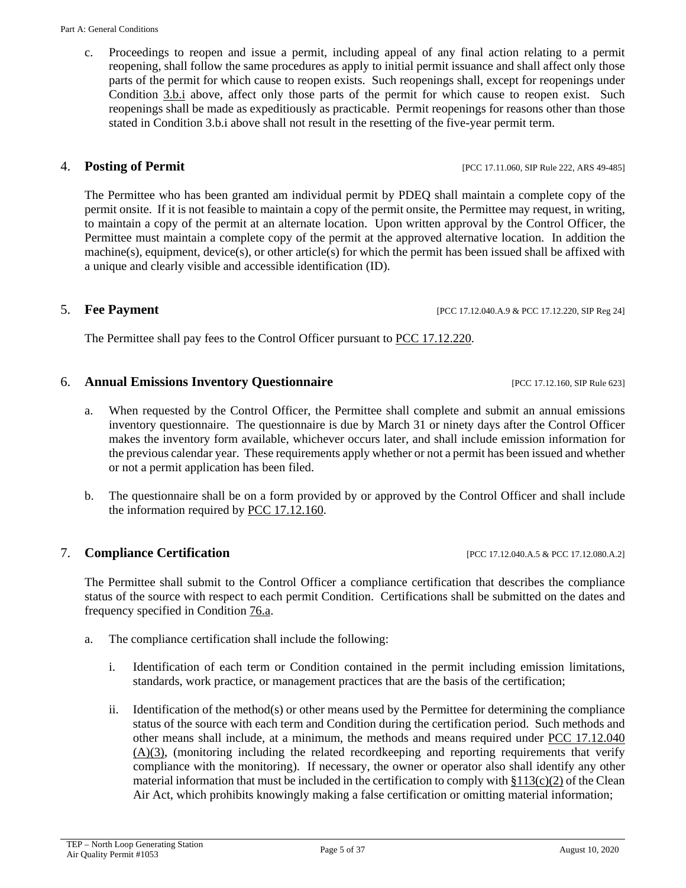c. Proceedings to reopen and issue a permit, including appeal of any final action relating to a permit reopening, shall follow the same procedures as apply to initial permit issuance and shall affect only those parts of the permit for which cause to reopen exists. Such reopenings shall, except for reopenings under Condition [3.b.i](#page-3-0) above, affect only those parts of the permit for which cause to reopen exist. Such reopenings shall be made as expeditiously as practicable. Permit reopenings for reasons other than those stated in Condition 3.b.i above shall not result in the resetting of the five-year permit term.

# 4. **Posting of Permit** [PCC 17.11.060, SIP Rule 222, ARS 49-485]

The Permittee who has been granted am individual permit by PDEQ shall maintain a complete copy of the permit onsite. If it is not feasible to maintain a copy of the permit onsite, the Permittee may request, in writing, to maintain a copy of the permit at an alternate location. Upon written approval by the Control Officer, the Permittee must maintain a complete copy of the permit at the approved alternative location. In addition the machine(s), equipment, device(s), or other article(s) for which the permit has been issued shall be affixed with a unique and clearly visible and accessible identification (ID).

The Permittee shall pay fees to the Control Officer pursuant to [PCC 17.12.220.](http://library.amlegal.com/nxt/gateway.dll/Arizona/pimacounty_az/title17airqualitycontrol/chapter1712individualpermitsandpermitrev?f=templates$fn=default.htm$3.0$vid=amlegal:pimacounty_az$anc=JD_17.12.220)

### <span id="page-4-2"></span>6. **Annual Emissions Inventory Questionnaire** [PCC 17.12.160, SIP Rule 623]

- a. When requested by the Control Officer, the Permittee shall complete and submit an annual emissions inventory questionnaire. The questionnaire is due by March 31 or ninety days after the Control Officer makes the inventory form available, whichever occurs later, and shall include emission information for the previous calendar year. These requirements apply whether or not a permit has been issued and whether or not a permit application has been filed.
- b. The questionnaire shall be on a form provided by or approved by the Control Officer and shall include the information required by [PCC 17.12.160.](http://library.amlegal.com/nxt/gateway.dll/Arizona/pimacounty_az/title17airqualitycontrol/chapter1712individualpermitsandpermitrev?f=templates$fn=default.htm$3.0$vid=amlegal:pimacounty_az$anc=JD_17.12.160)

# <span id="page-4-1"></span>**7. Compliance Certification** [PCC 17.12.040.A.5 & PCC 17.12.080.A.2]

The Permittee shall submit to the Control Officer a compliance certification that describes the compliance status of the source with respect to each permit Condition. Certifications shall be submitted on the dates and frequency specified in Condition [76.a.](#page-31-1)

- <span id="page-4-0"></span>a. The compliance certification shall include the following:
	- i. Identification of each term or Condition contained in the permit including emission limitations, standards, work practice, or management practices that are the basis of the certification;
	- ii. Identification of the method(s) or other means used by the Permittee for determining the compliance status of the source with each term and Condition during the certification period. Such methods and other means shall include, at a minimum, the methods and means required under [PCC 17.12.040](http://library.amlegal.com/nxt/gateway.dll/Arizona/pimacounty_az/title17airqualitycontrol/chapter1712individualpermitsandpermitrev?f=templates$fn=default.htm$3.0$vid=amlegal:pimacounty_az$anc=JD_17.12.040)  [\(A\)\(3\),](http://library.amlegal.com/nxt/gateway.dll/Arizona/pimacounty_az/title17airqualitycontrol/chapter1712individualpermitsandpermitrev?f=templates$fn=default.htm$3.0$vid=amlegal:pimacounty_az$anc=JD_17.12.040) (monitoring including the related recordkeeping and reporting requirements that verify compliance with the monitoring). If necessary, the owner or operator also shall identify any other material information that must be included in the certification to comply with  $\S113(c)(2)$  of the Clean Air Act, which prohibits knowingly making a false certification or omitting material information;

5. **Fee Payment** [PCC 17.12.040.A.9 & PCC 17.12.220, SIP Reg 24]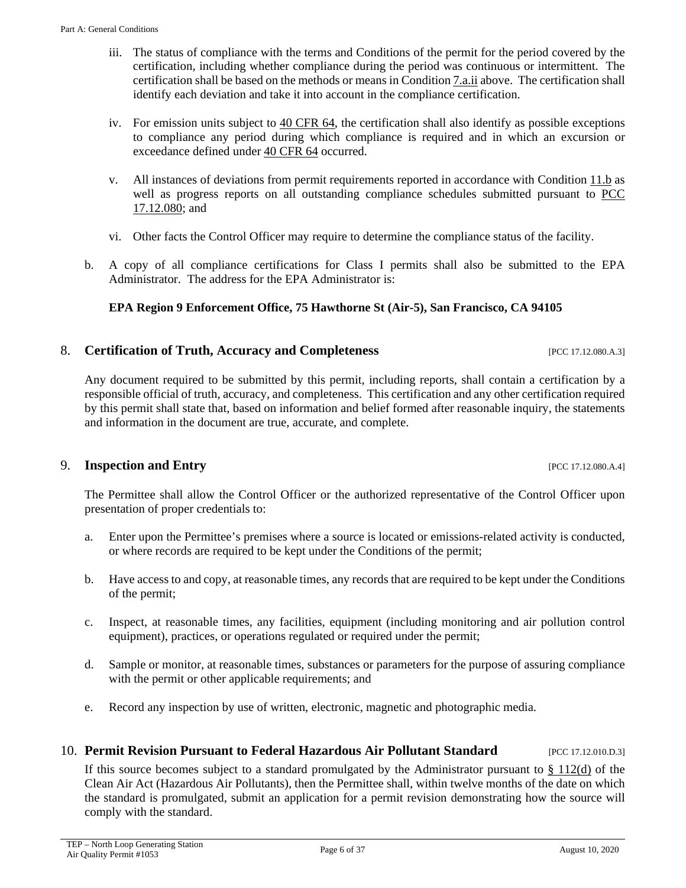comply with the standard.

- iii. The status of compliance with the terms and Conditions of the permit for the period covered by the certification, including whether compliance during the period was continuous or intermittent. The certification shall be based on the methods or means in Condition [7.a.ii](#page-4-0) above. The certification shall identify each deviation and take it into account in the compliance certification.
- iv. For emission units subject to [40 CFR 64,](https://www.ecfr.gov/cgi-bin/text-idx?SID=051b642f7956e2ead1f421c10ff6a103&mc=true&node=pt40.17.64&rgn=div5) the certification shall also identify as possible exceptions to compliance any period during which compliance is required and in which an excursion or exceedance defined under [40 CFR 64](https://www.ecfr.gov/cgi-bin/text-idx?SID=051b642f7956e2ead1f421c10ff6a103&mc=true&node=pt40.17.64&rgn=div5) occurred.
- v. All instances of deviations from permit requirements reported in accordance with Condition [11.b](#page-5-0) as well as progress reports on all outstanding compliance schedules submitted pursuant to [PCC](http://library.amlegal.com/nxt/gateway.dll/Arizona/pimacounty_az/title17airqualitycontrol/chapter1712individualpermitsandpermitrev?f=templates$fn=default.htm$3.0$vid=amlegal:pimacounty_az$anc=JD_17.12.080)  [17.12.080;](http://library.amlegal.com/nxt/gateway.dll/Arizona/pimacounty_az/title17airqualitycontrol/chapter1712individualpermitsandpermitrev?f=templates$fn=default.htm$3.0$vid=amlegal:pimacounty_az$anc=JD_17.12.080) and
- vi. Other facts the Control Officer may require to determine the compliance status of the facility.
- <span id="page-5-0"></span>b. A copy of all compliance certifications for Class I permits shall also be submitted to the EPA Administrator. The address for the EPA Administrator is:

# **EPA Region 9 Enforcement Office, 75 Hawthorne St (Air-5), San Francisco, CA 94105**

# 8. **Certification of Truth, Accuracy and Completeness** [PCC 17.12.080.A.3]

Any document required to be submitted by this permit, including reports, shall contain a certification by a responsible official of truth, accuracy, and completeness. This certification and any other certification required by this permit shall state that, based on information and belief formed after reasonable inquiry, the statements and information in the document are true, accurate, and complete.

# 9. **Inspection and Entry** [PCC 17.12.080.A.4]

The Permittee shall allow the Control Officer or the authorized representative of the Control Officer upon presentation of proper credentials to:

- a. Enter upon the Permittee's premises where a source is located or emissions-related activity is conducted, or where records are required to be kept under the Conditions of the permit;
- b. Have access to and copy, at reasonable times, any records that are required to be kept under the Conditions of the permit;
- c. Inspect, at reasonable times, any facilities, equipment (including monitoring and air pollution control equipment), practices, or operations regulated or required under the permit;
- d. Sample or monitor, at reasonable times, substances or parameters for the purpose of assuring compliance with the permit or other applicable requirements; and
- e. Record any inspection by use of written, electronic, magnetic and photographic media.

# 10. **Permit Revision Pursuant to Federal Hazardous Air Pollutant Standard** [PCC 17.12.010.D.3]

If this source becomes subject to a standard promulgated by the Administrator pursuant to  $\S 112(d)$  of the Clean Air Act (Hazardous Air Pollutants), then the Permittee shall, within twelve months of the date on which the standard is promulgated, submit an application for a permit revision demonstrating how the source will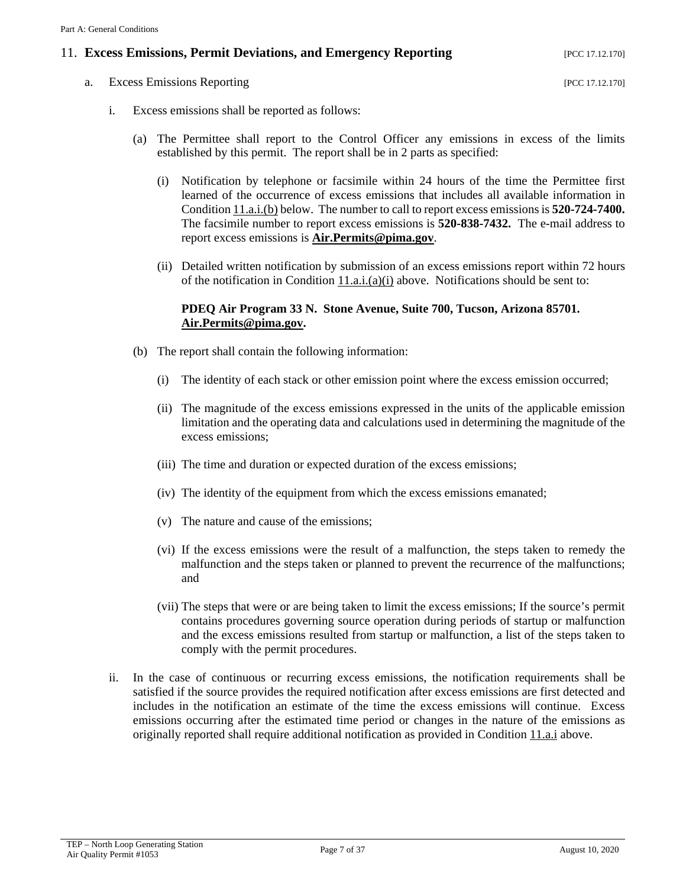#### <span id="page-6-2"></span>11. **Excess Emissions, Permit Deviations, and Emergency Reporting** [PCC 17.12.170]

<span id="page-6-1"></span><span id="page-6-0"></span>a. Excess Emissions Reporting [PCC 17.12.170]

- i. Excess emissions shall be reported as follows:
	- (a) The Permittee shall report to the Control Officer any emissions in excess of the limits established by this permit. The report shall be in 2 parts as specified:
		- (i) Notification by telephone or facsimile within 24 hours of the time the Permittee first learned of the occurrence of excess emissions that includes all available information in Condition [11.a.i.\(b\)](#page-14-0) below. The number to call to report excess emissions is **520-724-7400.**  The facsimile number to report excess emissions is **520-838-7432.** The e-mail address to report excess emissions is **[Air.Permits@pima.gov](mailto:Air.Permits@pima.gov)**.
		- (ii) Detailed written notification by submission of an excess emissions report within 72 hours of the notification in Condition  $11.a.i.(a)(i)$  above. Notifications should be sent to:

#### **PDEQ Air Program 33 N. Stone Avenue, Suite 700, Tucson, Arizona 85701. [Air.Permits@pima.gov.](mailto:Air.Permits@pima.gov)**

- (b) The report shall contain the following information:
	- (i) The identity of each stack or other emission point where the excess emission occurred;
	- (ii) The magnitude of the excess emissions expressed in the units of the applicable emission limitation and the operating data and calculations used in determining the magnitude of the excess emissions;
	- (iii) The time and duration or expected duration of the excess emissions;
	- (iv) The identity of the equipment from which the excess emissions emanated;
	- (v) The nature and cause of the emissions;
	- (vi) If the excess emissions were the result of a malfunction, the steps taken to remedy the malfunction and the steps taken or planned to prevent the recurrence of the malfunctions; and
	- (vii) The steps that were or are being taken to limit the excess emissions; If the source's permit contains procedures governing source operation during periods of startup or malfunction and the excess emissions resulted from startup or malfunction, a list of the steps taken to comply with the permit procedures.
- ii. In the case of continuous or recurring excess emissions, the notification requirements shall be satisfied if the source provides the required notification after excess emissions are first detected and includes in the notification an estimate of the time the excess emissions will continue. Excess emissions occurring after the estimated time period or changes in the nature of the emissions as originally reported shall require additional notification as provided in Condition [11.a.i](#page-6-0) above.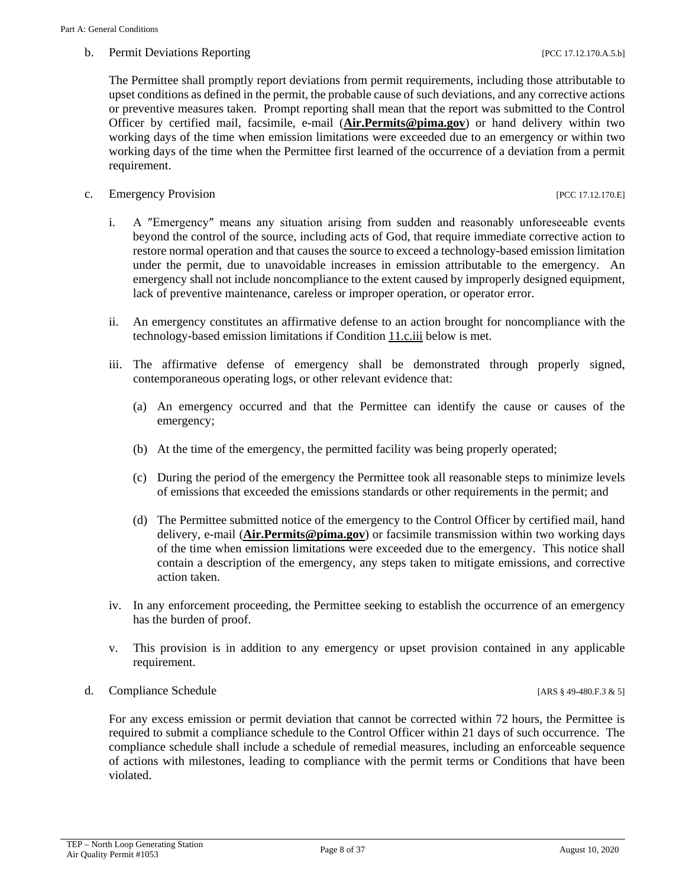#### b. Permit Deviations Reporting  $[PC 17.12.170.A.5.b]$

The Permittee shall promptly report deviations from permit requirements, including those attributable to upset conditions as defined in the permit, the probable cause of such deviations, and any corrective actions or preventive measures taken. Prompt reporting shall mean that the report was submitted to the Control Officer by certified mail, facsimile, e-mail (**[Air.Permits@pima.gov](mailto:Air.Permits@pima.gov)**) or hand delivery within two working days of the time when emission limitations were exceeded due to an emergency or within two working days of the time when the Permittee first learned of the occurrence of a deviation from a permit requirement.

c. Emergency Provision [PCC 17.12.170.E]

- i. A ″Emergency″ means any situation arising from sudden and reasonably unforeseeable events beyond the control of the source, including acts of God, that require immediate corrective action to restore normal operation and that causes the source to exceed a technology-based emission limitation under the permit, due to unavoidable increases in emission attributable to the emergency. An emergency shall not include noncompliance to the extent caused by improperly designed equipment, lack of preventive maintenance, careless or improper operation, or operator error.
- ii. An emergency constitutes an affirmative defense to an action brought for noncompliance with the technology-based emission limitations if Condition [11.c.iii](#page-7-0) below is met.
- <span id="page-7-0"></span>iii. The affirmative defense of emergency shall be demonstrated through properly signed, contemporaneous operating logs, or other relevant evidence that:
	- (a) An emergency occurred and that the Permittee can identify the cause or causes of the emergency;
	- (b) At the time of the emergency, the permitted facility was being properly operated;
	- (c) During the period of the emergency the Permittee took all reasonable steps to minimize levels of emissions that exceeded the emissions standards or other requirements in the permit; and
	- (d) The Permittee submitted notice of the emergency to the Control Officer by certified mail, hand delivery, e-mail (**[Air.Permits@pima.gov](mailto:Air.Permits@pima.gov)**) or facsimile transmission within two working days of the time when emission limitations were exceeded due to the emergency. This notice shall contain a description of the emergency, any steps taken to mitigate emissions, and corrective action taken.
- iv. In any enforcement proceeding, the Permittee seeking to establish the occurrence of an emergency has the burden of proof.
- v. This provision is in addition to any emergency or upset provision contained in any applicable requirement.
- d. Compliance Schedule [ARS § 49-480.F.3 & 5]

For any excess emission or permit deviation that cannot be corrected within 72 hours, the Permittee is required to submit a compliance schedule to the Control Officer within 21 days of such occurrence. The compliance schedule shall include a schedule of remedial measures, including an enforceable sequence of actions with milestones, leading to compliance with the permit terms or Conditions that have been violated.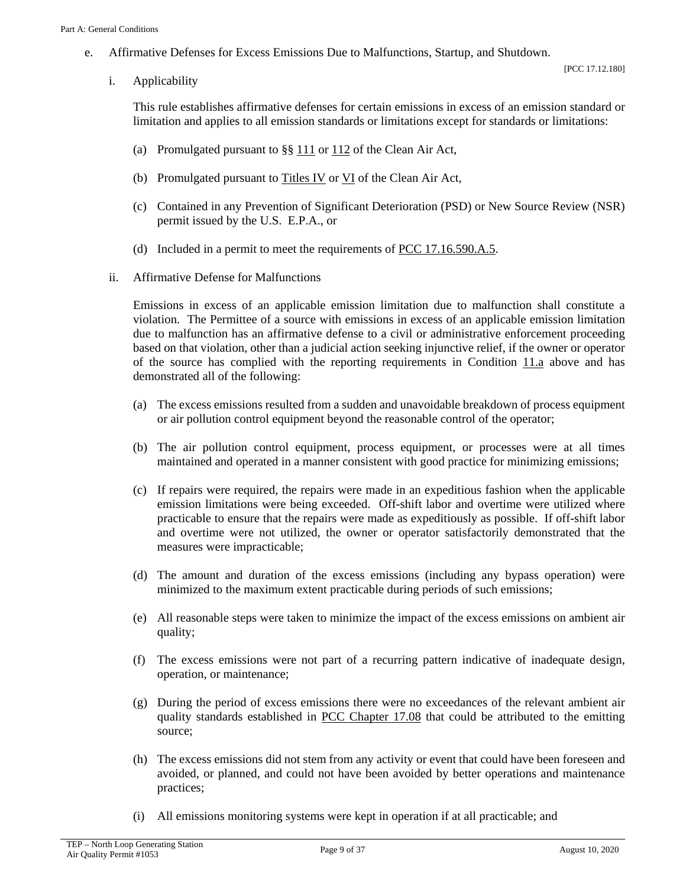<span id="page-8-1"></span>e. Affirmative Defenses for Excess Emissions Due to Malfunctions, Startup, and Shutdown.

i. Applicability

This rule establishes affirmative defenses for certain emissions in excess of an emission standard or limitation and applies to all emission standards or limitations except for standards or limitations:

- (a) Promulgated pursuant to §§ [111](https://www.epa.gov/clean-air-act-overview/clean-air-act-title-i-air-pollution-prevention-and-control-parts-through-d#ia) or [112](https://www.epa.gov/clean-air-act-overview/clean-air-act-title-i-air-pollution-prevention-and-control-parts-through-d#ia) of the Clean Air Act,
- (b) Promulgated pursuant to Titles [IV](https://www.epa.gov/clean-air-act-overview/clean-air-act-title-iv-subchapter-acid-deposition-control) or [VI](https://www.epa.gov/clean-air-act-overview/clean-air-act-title-vi-stratospheric-ozone-protection) of the Clean Air Act,
- (c) Contained in any Prevention of Significant Deterioration (PSD) or New Source Review (NSR) permit issued by the U.S. E.P.A., or
- (d) Included in a permit to meet the requirements of [PCC 17.16.590.A.5.](http://library.amlegal.com/nxt/gateway.dll/Arizona/pimacounty_az/title17airqualitycontrol/chapter1716emissionlimitingstandards?f=templates$fn=default.htm$3.0$vid=amlegal:pimacounty_az$anc=JD_17.16.590)
- <span id="page-8-0"></span>ii. Affirmative Defense for Malfunctions

Emissions in excess of an applicable emission limitation due to malfunction shall constitute a violation. The Permittee of a source with emissions in excess of an applicable emission limitation due to malfunction has an affirmative defense to a civil or administrative enforcement proceeding based on that violation, other than a judicial action seeking injunctive relief, if the owner or operator of the source has complied with the reporting requirements in Condition  $11a$  above and has demonstrated all of the following:

- (a) The excess emissions resulted from a sudden and unavoidable breakdown of process equipment or air pollution control equipment beyond the reasonable control of the operator;
- (b) The air pollution control equipment, process equipment, or processes were at all times maintained and operated in a manner consistent with good practice for minimizing emissions;
- (c) If repairs were required, the repairs were made in an expeditious fashion when the applicable emission limitations were being exceeded. Off-shift labor and overtime were utilized where practicable to ensure that the repairs were made as expeditiously as possible. If off-shift labor and overtime were not utilized, the owner or operator satisfactorily demonstrated that the measures were impracticable;
- (d) The amount and duration of the excess emissions (including any bypass operation) were minimized to the maximum extent practicable during periods of such emissions;
- (e) All reasonable steps were taken to minimize the impact of the excess emissions on ambient air quality;
- (f) The excess emissions were not part of a recurring pattern indicative of inadequate design, operation, or maintenance;
- (g) During the period of excess emissions there were no exceedances of the relevant ambient air quality standards established in [PCC Chapter 17.08](http://library.amlegal.com/nxt/gateway.dll/Arizona/pimacounty_az/title17airqualitycontrol/chapter1708ambientairqualitystandards?f=templates$fn=default.htm$3.0$vid=amlegal:pimacounty_az$anc=JD_Chapter17.08) that could be attributed to the emitting source;
- (h) The excess emissions did not stem from any activity or event that could have been foreseen and avoided, or planned, and could not have been avoided by better operations and maintenance practices;
- (i) All emissions monitoring systems were kept in operation if at all practicable; and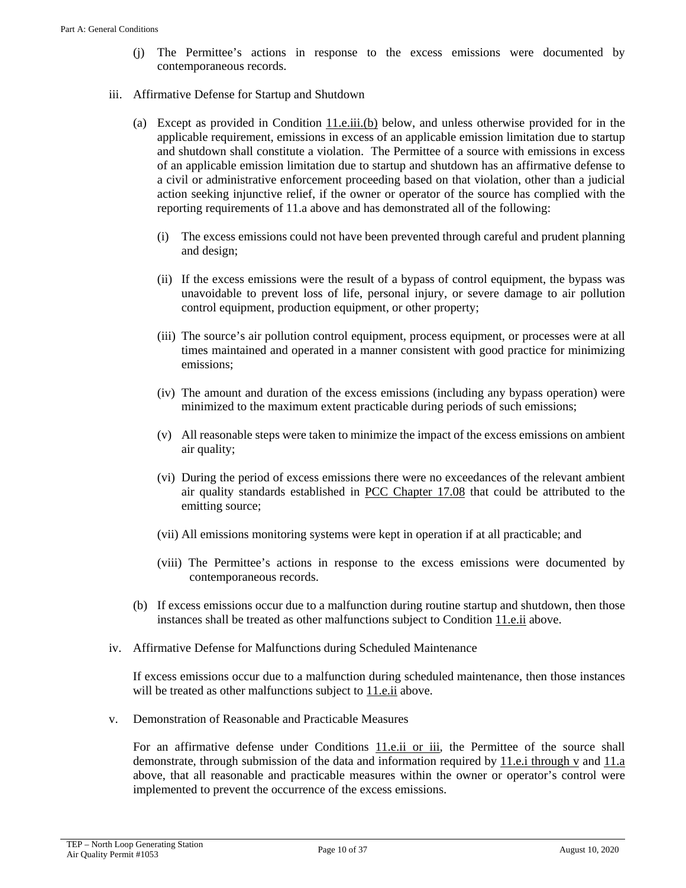- (j) The Permittee's actions in response to the excess emissions were documented by contemporaneous records.
- iii. Affirmative Defense for Startup and Shutdown
	- (a) Except as provided in Condition  $11.e.iii.$  (b) below, and unless otherwise provided for in the applicable requirement, emissions in excess of an applicable emission limitation due to startup and shutdown shall constitute a violation. The Permittee of a source with emissions in excess of an applicable emission limitation due to startup and shutdown has an affirmative defense to a civil or administrative enforcement proceeding based on that violation, other than a judicial action seeking injunctive relief, if the owner or operator of the source has complied with the reporting requirements of 11.a above and has demonstrated all of the following:
		- (i) The excess emissions could not have been prevented through careful and prudent planning and design;
		- (ii) If the excess emissions were the result of a bypass of control equipment, the bypass was unavoidable to prevent loss of life, personal injury, or severe damage to air pollution control equipment, production equipment, or other property;
		- (iii) The source's air pollution control equipment, process equipment, or processes were at all times maintained and operated in a manner consistent with good practice for minimizing emissions;
		- (iv) The amount and duration of the excess emissions (including any bypass operation) were minimized to the maximum extent practicable during periods of such emissions;
		- (v) All reasonable steps were taken to minimize the impact of the excess emissions on ambient air quality;
		- (vi) During the period of excess emissions there were no exceedances of the relevant ambient air quality standards established in [PCC Chapter 17.08](http://library.amlegal.com/nxt/gateway.dll/Arizona/pimacounty_az/title17airqualitycontrol/chapter1708ambientairqualitystandards?f=templates$fn=default.htm$3.0$vid=amlegal:pimacounty_az$anc=JD_Chapter17.08) that could be attributed to the emitting source;
		- (vii) All emissions monitoring systems were kept in operation if at all practicable; and
		- (viii) The Permittee's actions in response to the excess emissions were documented by contemporaneous records.
	- (b) If excess emissions occur due to a malfunction during routine startup and shutdown, then those instances shall be treated as other malfunctions subject to Condition [11.e.ii](#page-8-0) above.
- <span id="page-9-0"></span>iv. Affirmative Defense for Malfunctions during Scheduled Maintenance

If excess emissions occur due to a malfunction during scheduled maintenance, then those instances will be treated as other malfunctions subject to  $11.e.ii$  above.

v. Demonstration of Reasonable and Practicable Measures

For an affirmative defense under Conditions [11.e.ii or iii,](#page-8-0) the Permittee of the source shall demonstrate, through submission of the data and information required by [11.e.i through v](#page-8-1) and [11.a](#page-6-1) above, that all reasonable and practicable measures within the owner or operator's control were implemented to prevent the occurrence of the excess emissions.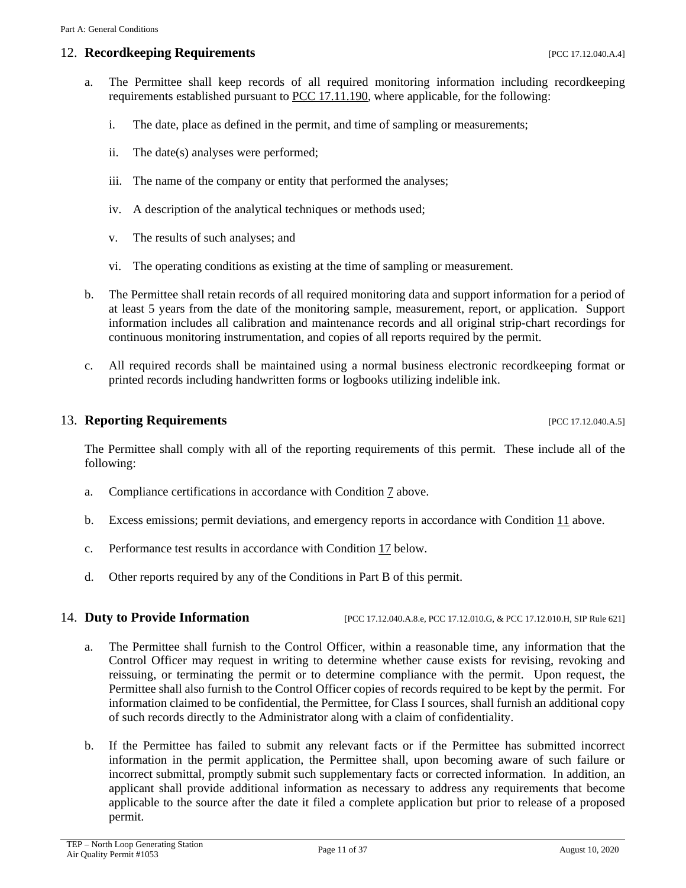### **12. Recordkeeping Requirements** *PCC 17.12.040.A.4***]**

- a. The Permittee shall keep records of all required monitoring information including recordkeeping requirements established pursuant to [PCC 17.11.190,](http://library.amlegal.com/nxt/gateway.dll/Arizona/pimacounty_az/title17airqualitycontrol/chapter1711generalprovisionsforpermits?f=templates$fn=default.htm$3.0$vid=amlegal:pimacounty_az$anc=JD_17.11.190) where applicable, for the following:
	- i. The date, place as defined in the permit, and time of sampling or measurements;
	- ii. The date(s) analyses were performed;
	- iii. The name of the company or entity that performed the analyses;
	- iv. A description of the analytical techniques or methods used;
	- v. The results of such analyses; and
	- vi. The operating conditions as existing at the time of sampling or measurement.
- b. The Permittee shall retain records of all required monitoring data and support information for a period of at least 5 years from the date of the monitoring sample, measurement, report, or application. Support information includes all calibration and maintenance records and all original strip-chart recordings for continuous monitoring instrumentation, and copies of all reports required by the permit.
- c. All required records shall be maintained using a normal business electronic recordkeeping format or printed records including handwritten forms or logbooks utilizing indelible ink.

#### 13. **Reporting Requirements** [PCC 17.12.040.A.5]

The Permittee shall comply with all of the reporting requirements of this permit. These include all of the following:

- a. Compliance certifications in accordance with Condition [7](#page-4-1) above.
- b. Excess emissions; permit deviations, and emergency reports in accordance with Condition [11](#page-6-2) above.
- c. Performance test results in accordance with Condition [17](#page-12-0) below.
- d. Other reports required by any of the Conditions in Part B of this permit.

14. **Duty to Provide Information** [PCC 17.12.040.A.8.e, PCC 17.12.010.G, & PCC 17.12.010.H, SIP Rule 621]

- a. The Permittee shall furnish to the Control Officer, within a reasonable time, any information that the Control Officer may request in writing to determine whether cause exists for revising, revoking and reissuing, or terminating the permit or to determine compliance with the permit. Upon request, the Permittee shall also furnish to the Control Officer copies of records required to be kept by the permit. For information claimed to be confidential, the Permittee, for Class I sources, shall furnish an additional copy of such records directly to the Administrator along with a claim of confidentiality.
- b. If the Permittee has failed to submit any relevant facts or if the Permittee has submitted incorrect information in the permit application, the Permittee shall, upon becoming aware of such failure or incorrect submittal, promptly submit such supplementary facts or corrected information. In addition, an applicant shall provide additional information as necessary to address any requirements that become applicable to the source after the date it filed a complete application but prior to release of a proposed permit.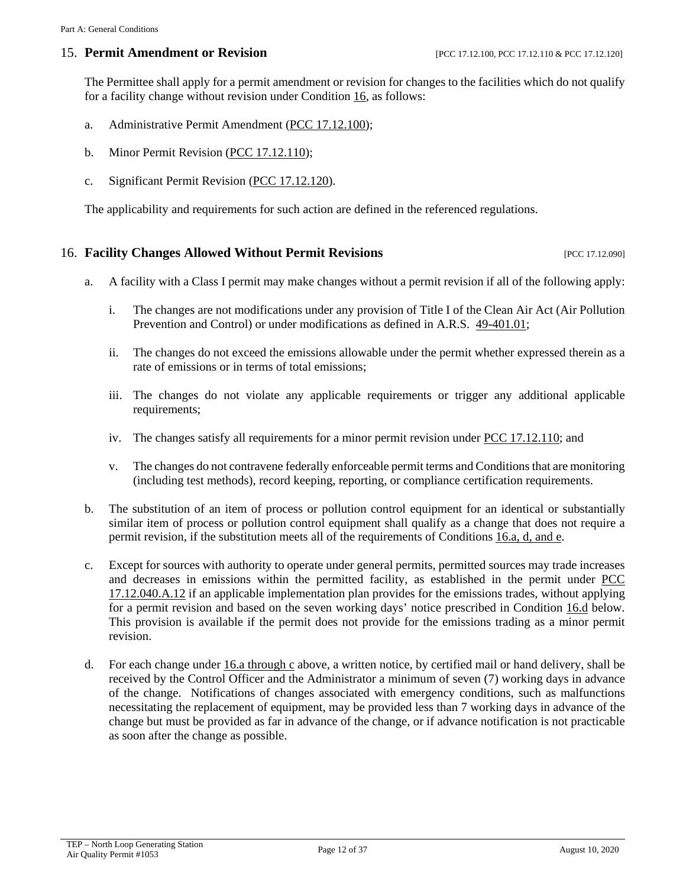#### 15. **Permit Amendment or Revision** [PCC 17.12.100, PCC 17.12.110 & PCC 17.12.120]

The Permittee shall apply for a permit amendment or revision for changes to the facilities which do not qualify for a facility change without revision under Condition [16,](#page-11-0) as follows:

- a. Administrative Permit Amendment [\(PCC 17.12.100\)](http://library.amlegal.com/nxt/gateway.dll/Arizona/pimacounty_az/title17airqualitycontrol/chapter1712individualpermitsandpermitrev?f=templates$fn=default.htm$3.0$vid=amlegal:pimacounty_az$anc=JD_17.12.100);
- <span id="page-11-2"></span>b. Minor Permit Revision [\(PCC 17.12.110\)](http://library.amlegal.com/nxt/gateway.dll/Arizona/pimacounty_az/title17airqualitycontrol/chapter1712individualpermitsandpermitrev?f=templates$fn=default.htm$3.0$vid=amlegal:pimacounty_az$anc=JD_17.12.110);
- c. Significant Permit Revision [\(PCC 17.12.120\)](http://library.amlegal.com/nxt/gateway.dll/Arizona/pimacounty_az/title17airqualitycontrol/chapter1712individualpermitsandpermitrev?f=templates$fn=default.htm$3.0$vid=amlegal:pimacounty_az$anc=JD_17.12.120).

The applicability and requirements for such action are defined in the referenced regulations.

#### <span id="page-11-0"></span>16. **Facility Changes Allowed Without Permit Revisions** [PCC 17.12.090]

- <span id="page-11-1"></span>a. A facility with a Class I permit may make changes without a permit revision if all of the following apply:
	- i. The changes are not modifications under any provision of Title I of the Clean Air Act (Air Pollution Prevention and Control) or under modifications as defined in A.R.S. [49-401.01;](https://www.azleg.gov/viewdocument/?docName=https://www.azleg.gov/ars/49/00401-01.htm)
	- ii. The changes do not exceed the emissions allowable under the permit whether expressed therein as a rate of emissions or in terms of total emissions;
	- iii. The changes do not violate any applicable requirements or trigger any additional applicable requirements;
	- iv. The changes satisfy all requirements for a minor permit revision under [PCC 17.12.110;](http://library.amlegal.com/nxt/gateway.dll/Arizona/pimacounty_az/title17airqualitycontrol/chapter1712individualpermitsandpermitrev?f=templates$fn=default.htm$3.0$vid=amlegal:pimacounty_az$anc=JD_17.12.110) and
	- v. The changes do not contravene federally enforceable permit terms and Conditions that are monitoring (including test methods), record keeping, reporting, or compliance certification requirements.
- b. The substitution of an item of process or pollution control equipment for an identical or substantially similar item of process or pollution control equipment shall qualify as a change that does not require a permit revision, if the substitution meets all of the requirements of Condition[s 16.a, d, and e.](#page-11-1)
- c. Except for sources with authority to operate under general permits, permitted sources may trade increases and decreases in emissions within the permitted facility, as established in the permit under [PCC](http://library.amlegal.com/nxt/gateway.dll/Arizona/pimacounty_az/title17airqualitycontrol/chapter1712individualpermitsandpermitrev?f=templates$fn=default.htm$3.0$vid=amlegal:pimacounty_az$anc=JD_17.12.040)  [17.12.040.A.12](http://library.amlegal.com/nxt/gateway.dll/Arizona/pimacounty_az/title17airqualitycontrol/chapter1712individualpermitsandpermitrev?f=templates$fn=default.htm$3.0$vid=amlegal:pimacounty_az$anc=JD_17.12.040) if an applicable implementation plan provides for the emissions trades, without applying for a permit revision and based on the seven working days' notice prescribed in Condition [16.d](#page-14-0) below. This provision is available if the permit does not provide for the emissions trading as a minor permit revision.
- d. For each change under  $16.a$  through c above, a written notice, by certified mail or hand delivery, shall be received by the Control Officer and the Administrator a minimum of seven (7) working days in advance of the change. Notifications of changes associated with emergency conditions, such as malfunctions necessitating the replacement of equipment, may be provided less than 7 working days in advance of the change but must be provided as far in advance of the change, or if advance notification is not practicable as soon after the change as possible.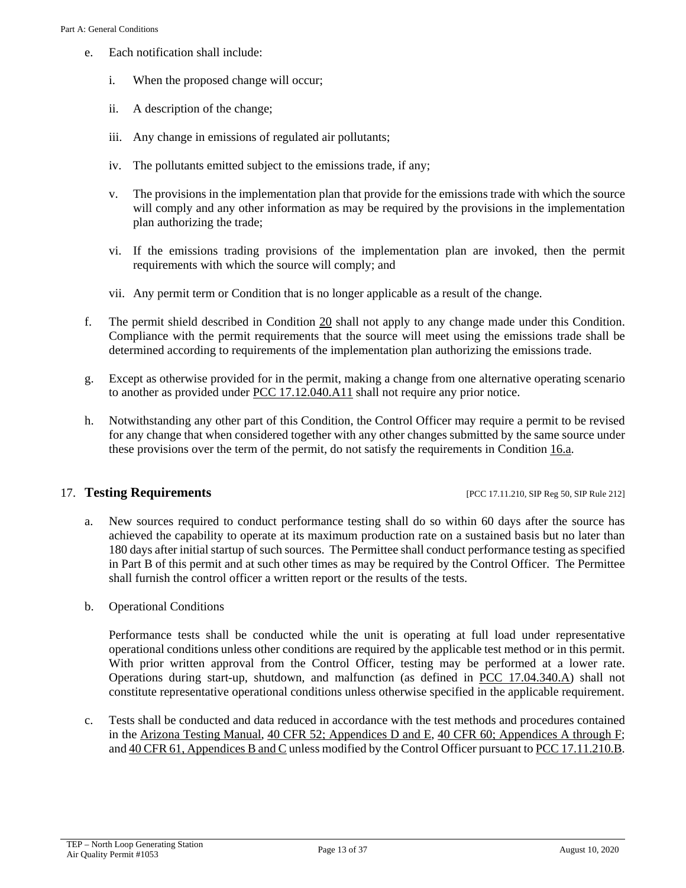- e. Each notification shall include:
	- i. When the proposed change will occur;
	- ii. A description of the change;
	- iii. Any change in emissions of regulated air pollutants;
	- iv. The pollutants emitted subject to the emissions trade, if any;
	- v. The provisions in the implementation plan that provide for the emissions trade with which the source will comply and any other information as may be required by the provisions in the implementation plan authorizing the trade;
	- vi. If the emissions trading provisions of the implementation plan are invoked, then the permit requirements with which the source will comply; and
	- vii. Any permit term or Condition that is no longer applicable as a result of the change.
- f. The permit shield described in Condition [20](#page-14-1) shall not apply to any change made under this Condition. Compliance with the permit requirements that the source will meet using the emissions trade shall be determined according to requirements of the implementation plan authorizing the emissions trade.
- g. Except as otherwise provided for in the permit, making a change from one alternative operating scenario to another as provided under [PCC 17.12.040.A11](http://library.amlegal.com/nxt/gateway.dll/Arizona/pimacounty_az/title17airqualitycontrol/chapter1712individualpermitsandpermitrev?f=templates$fn=default.htm$3.0$vid=amlegal:pimacounty_az$anc=JD_17.12.040) shall not require any prior notice.
- h. Notwithstanding any other part of this Condition, the Control Officer may require a permit to be revised for any change that when considered together with any other changes submitted by the same source under these provisions over the term of the permit, do not satisfy the requirements in Condition [16.a.](#page-11-1)

#### <span id="page-12-0"></span>17. **Testing Requirements** [PCC 17.11.210, SIP Reg 50, SIP Rule 212]

- a. New sources required to conduct performance testing shall do so within 60 days after the source has achieved the capability to operate at its maximum production rate on a sustained basis but no later than 180 days after initial startup of such sources. The Permittee shall conduct performance testing as specified in Part B of this permit and at such other times as may be required by the Control Officer. The Permittee shall furnish the control officer a written report or the results of the tests.
- b. Operational Conditions

Performance tests shall be conducted while the unit is operating at full load under representative operational conditions unless other conditions are required by the applicable test method or in this permit. With prior written approval from the Control Officer, testing may be performed at a lower rate. Operations during start-up, shutdown, and malfunction (as defined in [PCC 17.04.340.A\)](http://library.amlegal.com/nxt/gateway.dll/Arizona/pimacounty_az/title17airqualitycontrol?f=templates$fn=default.htm$3.0$vid=amlegal:pimacounty_az$anc=JD_17.04.340) shall not constitute representative operational conditions unless otherwise specified in the applicable requirement.

c. Tests shall be conducted and data reduced in accordance with the test methods and procedures contained in the [Arizona Testing Manual,](https://legacy.azdeq.gov/environ/air/compliance/download/manual.pdf) [40 CFR 52; Appendices D and E,](https://www.ecfr.gov/cgi-bin/text-idx?SID=7b95ff1d94b78a66114c0ee08b7ca269&mc=true&node=ap40.5.52_12923_652_12999.d&rgn=div9) [40 CFR 60; Appendices A through F;](https://www.ecfr.gov/cgi-bin/text-idx?SID=4116672c57088c8bc9016bcd757a8030&mc=true&node=pt40.9.60&rgn=div5) an[d 40 CFR 61, Appendices B and C](https://www.ecfr.gov/cgi-bin/text-idx?SID=4116672c57088c8bc9016bcd757a8030&mc=true&node=pt40.10.61&rgn=div5) unless modified by the Control Officer pursuant to PCC [17.11.210.B.](http://library.amlegal.com/nxt/gateway.dll/Arizona/pimacounty_az/title17airqualitycontrol/chapter1711generalprovisionsforpermits?f=templates$fn=default.htm$3.0$vid=amlegal:pimacounty_az$anc=JD_17.11.210)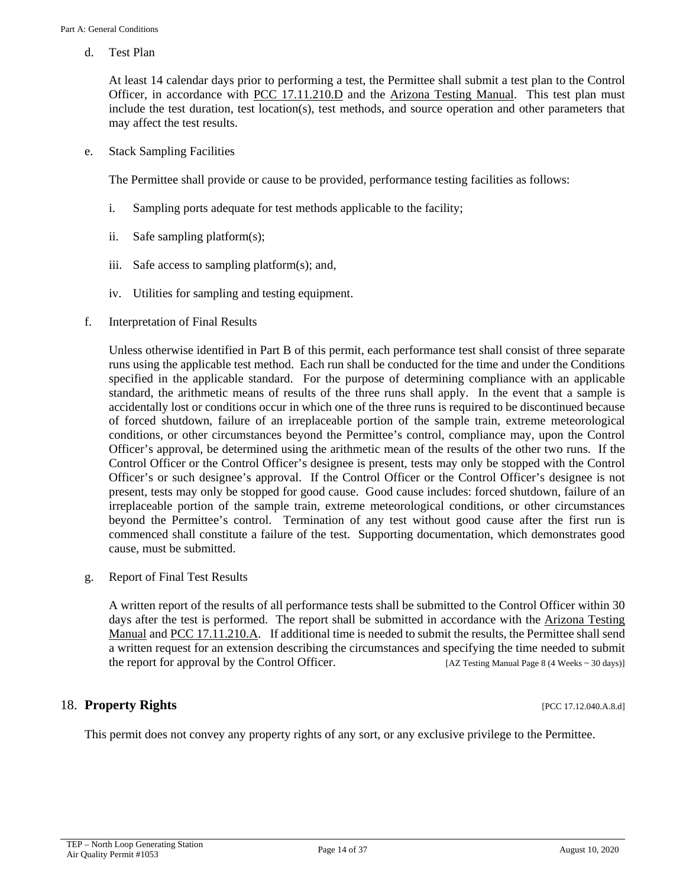d. Test Plan

At least 14 calendar days prior to performing a test, the Permittee shall submit a test plan to the Control Officer, in accordance with [PCC 17.11.210.D](http://library.amlegal.com/nxt/gateway.dll/Arizona/pimacounty_az/title17airqualitycontrol/chapter1711generalprovisionsforpermits?f=templates$fn=default.htm$3.0$vid=amlegal:pimacounty_az$anc=JD_17.11.210) and the [Arizona Testing Manual.](https://legacy.azdeq.gov/environ/air/compliance/download/manual.pdf) This test plan must include the test duration, test location(s), test methods, and source operation and other parameters that may affect the test results.

e. Stack Sampling Facilities

The Permittee shall provide or cause to be provided, performance testing facilities as follows:

- i. Sampling ports adequate for test methods applicable to the facility;
- ii. Safe sampling platform(s);
- iii. Safe access to sampling platform(s); and,
- iv. Utilities for sampling and testing equipment.
- f. Interpretation of Final Results

Unless otherwise identified in Part B of this permit, each performance test shall consist of three separate runs using the applicable test method. Each run shall be conducted for the time and under the Conditions specified in the applicable standard. For the purpose of determining compliance with an applicable standard, the arithmetic means of results of the three runs shall apply. In the event that a sample is accidentally lost or conditions occur in which one of the three runs is required to be discontinued because of forced shutdown, failure of an irreplaceable portion of the sample train, extreme meteorological conditions, or other circumstances beyond the Permittee's control, compliance may, upon the Control Officer's approval, be determined using the arithmetic mean of the results of the other two runs. If the Control Officer or the Control Officer's designee is present, tests may only be stopped with the Control Officer's or such designee's approval. If the Control Officer or the Control Officer's designee is not present, tests may only be stopped for good cause. Good cause includes: forced shutdown, failure of an irreplaceable portion of the sample train, extreme meteorological conditions, or other circumstances beyond the Permittee's control. Termination of any test without good cause after the first run is commenced shall constitute a failure of the test. Supporting documentation, which demonstrates good cause, must be submitted.

g. Report of Final Test Results

A written report of the results of all performance tests shall be submitted to the Control Officer within 30 days after the test is performed. The report shall be submitted in accordance with the [Arizona Testing](https://legacy.azdeq.gov/environ/air/compliance/download/manual.pdf)  [Manual](https://legacy.azdeq.gov/environ/air/compliance/download/manual.pdf) and [PCC 17.11.210.A.](http://library.amlegal.com/nxt/gateway.dll/Arizona/pimacounty_az/title17airqualitycontrol/chapter1711generalprovisionsforpermits?f=templates$fn=default.htm$3.0$vid=amlegal:pimacounty_az$anc=JD_17.11.210) If additional time is needed to submit the results, the Permittee shall send a written request for an extension describing the circumstances and specifying the time needed to submit the report for approval by the Control Officer. [AZ Testing Manual Page 8 (4 Weeks ~ 30 days)]

#### 18. **Property Rights** [PCC 17.12.040.A.8.d]

This permit does not convey any property rights of any sort, or any exclusive privilege to the Permittee.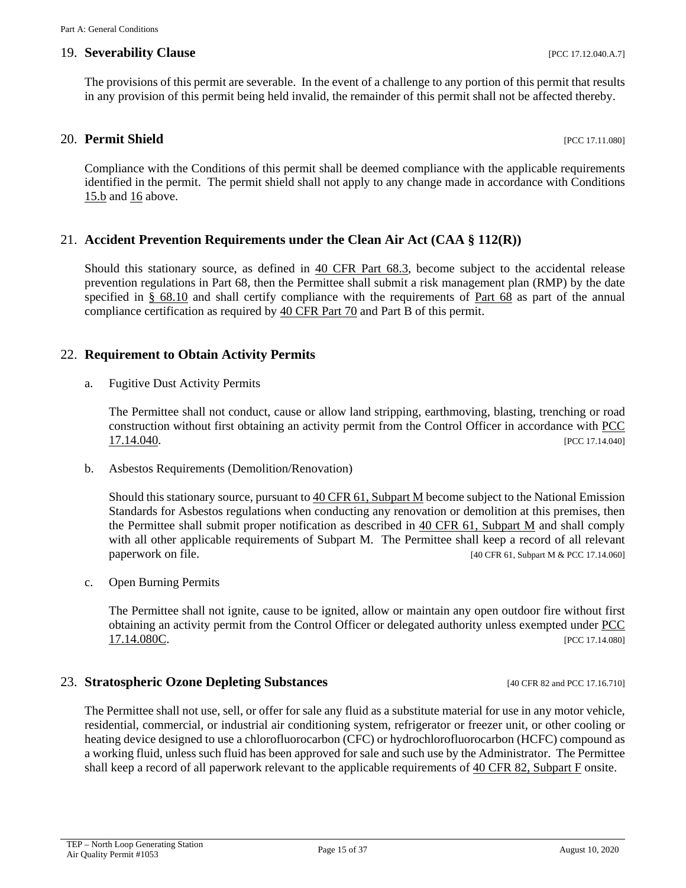#### 19. **Severability Clause** [PCC 17.12.040.A.7]

The provisions of this permit are severable. In the event of a challenge to any portion of this permit that results in any provision of this permit being held invalid, the remainder of this permit shall not be affected thereby.

#### <span id="page-14-1"></span>**20. Permit Shield** [PCC 17.11.080]

Compliance with the Conditions of this permit shall be deemed compliance with the applicable requirements identified in the permit. The permit shield shall not apply to any change made in accordance with Conditions [15.b](#page-11-2) and [16](#page-11-0) above.

#### 21. **Accident Prevention Requirements under the Clean Air Act (CAA § 112(R))**

Should this stationary source, as defined in [40 CFR Part 68.3,](https://www.ecfr.gov/cgi-bin/text-idx?SID=66dbfe474a4c9b8433bf0900ac536de2&mc=true&node=se40.17.68_13&rgn=div8) become subject to the accidental release prevention regulations in Part 68, then the Permittee shall submit a risk management plan (RMP) by the date specified in [§ 68.10](https://www.ecfr.gov/cgi-bin/retrieveECFR?gp=&SID=66dbfe474a4c9b8433bf0900ac536de2&mc=true&n=pt40.17.68&r=PART&ty=HTML#se40.17.68_110) and shall certify compliance with the requirements of [Part 68](https://www.ecfr.gov/cgi-bin/text-idx?SID=54a762ccb16b223860dd9ad6a963b12f&mc=true&node=pt40.17.68&rgn=div5) as part of the annual compliance certification as required by [40 CFR Part 70](https://www.ecfr.gov/cgi-bin/text-idx?SID=54a762ccb16b223860dd9ad6a963b12f&mc=true&node=pt40.17.70&rgn=div5) and Part B of this permit.

#### 22. **Requirement to Obtain Activity Permits**

a. Fugitive Dust Activity Permits

The Permittee shall not conduct, cause or allow land stripping, earthmoving, blasting, trenching or road construction without first obtaining an activity permit from the Control Officer in accordance with [PCC](http://library.amlegal.com/nxt/gateway.dll/Arizona/pimacounty_az/title17airqualitycontrol/chapter1714activitypermits?f=templates$fn=default.htm$3.0$vid=amlegal:pimacounty_az$anc=JD_17.14.040)   $17.14.040$ . [PCC 17.14.040]

b. Asbestos Requirements (Demolition/Renovation)

Should this stationary source, pursuant t[o 40 CFR 61, Subpart M](https://www.ecfr.gov/cgi-bin/text-idx?SID=55e2a1ac58ab42dc969cf5727732ee92&mc=true&node=pt40.10.61&rgn=div5#sp40.10.61.m) become subject to the National Emission Standards for Asbestos regulations when conducting any renovation or demolition at this premises, then the Permittee shall submit proper notification as described in [40 CFR 61, Subpart M](https://www.ecfr.gov/cgi-bin/text-idx?SID=55e2a1ac58ab42dc969cf5727732ee92&mc=true&node=pt40.10.61&rgn=div5#sp40.10.61.m) and shall comply with all other applicable requirements of Subpart M. The Permittee shall keep a record of all relevant paperwork on file. [40 CFR 61, Subpart M & PCC 17.14.060]

c. Open Burning Permits

The Permittee shall not ignite, cause to be ignited, allow or maintain any open outdoor fire without first obtaining an activity permit from the Control Officer or delegated authority unless exempted under [PCC](http://library.amlegal.com/nxt/gateway.dll/Arizona/pimacounty_az/title17airqualitycontrol/chapter1714activitypermits?f=templates$fn=default.htm$3.0$vid=amlegal:pimacounty_az$anc=JD_17.14.040)  **[17.14.080C.](http://library.amlegal.com/nxt/gateway.dll/Arizona/pimacounty_az/title17airqualitycontrol/chapter1714activitypermits?f=templates$fn=default.htm$3.0$vid=amlegal:pimacounty_az$anc=JD_17.14.040)** [PCC 17.14.080]

#### 23. **Stratospheric Ozone Depleting Substances** [40 CFR 82 and PCC 17.16.710]

<span id="page-14-0"></span>The Permittee shall not use, sell, or offer for sale any fluid as a substitute material for use in any motor vehicle, residential, commercial, or industrial air conditioning system, refrigerator or freezer unit, or other cooling or heating device designed to use a chlorofluorocarbon (CFC) or hydrochlorofluorocarbon (HCFC) compound as a working fluid, unless such fluid has been approved for sale and such use by the Administrator. The Permittee shall keep a record of all paperwork relevant to the applicable requirements of [40 CFR 82, Subpart F](https://www.ecfr.gov/cgi-bin/text-idx?SID=38bd7be30f4aa6756c8d9fe6be46b15c&mc=true&node=sp40.21.82.f&rgn=div6) onsite.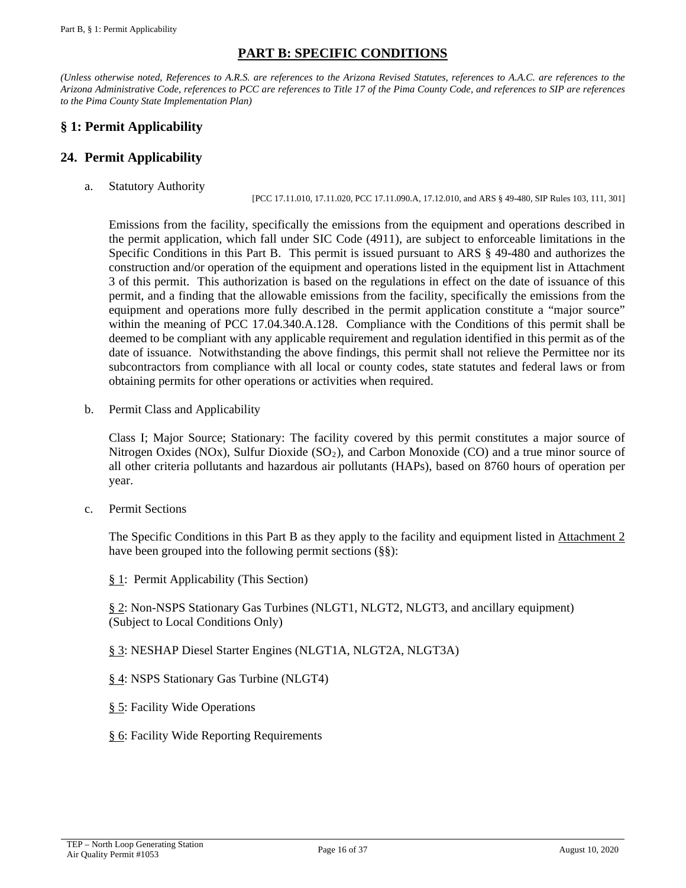# **PART B: SPECIFIC CONDITIONS**

*(Unless otherwise noted, References to A.R.S. are references to the Arizona Revised Statutes, references to A.A.C. are references to the Arizona Administrative Code, references to PCC are references to Title 17 of the Pima County Code, and references to SIP are references to the Pima County State Implementation Plan)*

# <span id="page-15-0"></span>**§ 1: Permit Applicability**

#### **24. Permit Applicability**

a. Statutory Authority

[PCC 17.11.010, 17.11.020, PCC 17.11.090.A, 17.12.010, and ARS § 49-480, SIP Rules 103, 111, 301]

Emissions from the facility, specifically the emissions from the equipment and operations described in the permit application, which fall under SIC Code (4911), are subject to enforceable limitations in the Specific Conditions in this Part B. This permit is issued pursuant to ARS § 49-480 and authorizes the construction and/or operation of the equipment and operations listed in the equipment list in Attachment 3 of this permit. This authorization is based on the regulations in effect on the date of issuance of this permit, and a finding that the allowable emissions from the facility, specifically the emissions from the equipment and operations more fully described in the permit application constitute a "major source" within the meaning of PCC 17.04.340.A.128. Compliance with the Conditions of this permit shall be deemed to be compliant with any applicable requirement and regulation identified in this permit as of the date of issuance. Notwithstanding the above findings, this permit shall not relieve the Permittee nor its subcontractors from compliance with all local or county codes, state statutes and federal laws or from obtaining permits for other operations or activities when required.

b. Permit Class and Applicability

Class I; Major Source; Stationary: The facility covered by this permit constitutes a major source of Nitrogen Oxides (NOx), Sulfur Dioxide ( $SO<sub>2</sub>$ ), and Carbon Monoxide (CO) and a true minor source of all other criteria pollutants and hazardous air pollutants (HAPs), based on 8760 hours of operation per year.

c. Permit Sections

The Specific Conditions in this Part B as they apply to the facility and equipment listed in [Attachment 2](#page-35-0) have been grouped into the following permit sections (§§):

[§ 1:](#page-15-0) Permit Applicability (This Section)

[§ 2:](#page-16-0) Non-NSPS Stationary Gas Turbines (NLGT1, NLGT2, NLGT3, and ancillary equipment) (Subject to Local Conditions Only)

- [§ 3:](#page-19-0) NESHAP Diesel Starter Engines (NLGT1A, NLGT2A, NLGT3A)
- [§ 4:](#page-22-0) NSPS Stationary Gas Turbine (NLGT4)
- [§ 5:](#page-28-0) Facility Wide Operations
- [§ 6:](#page-31-0) Facility Wide Reporting Requirements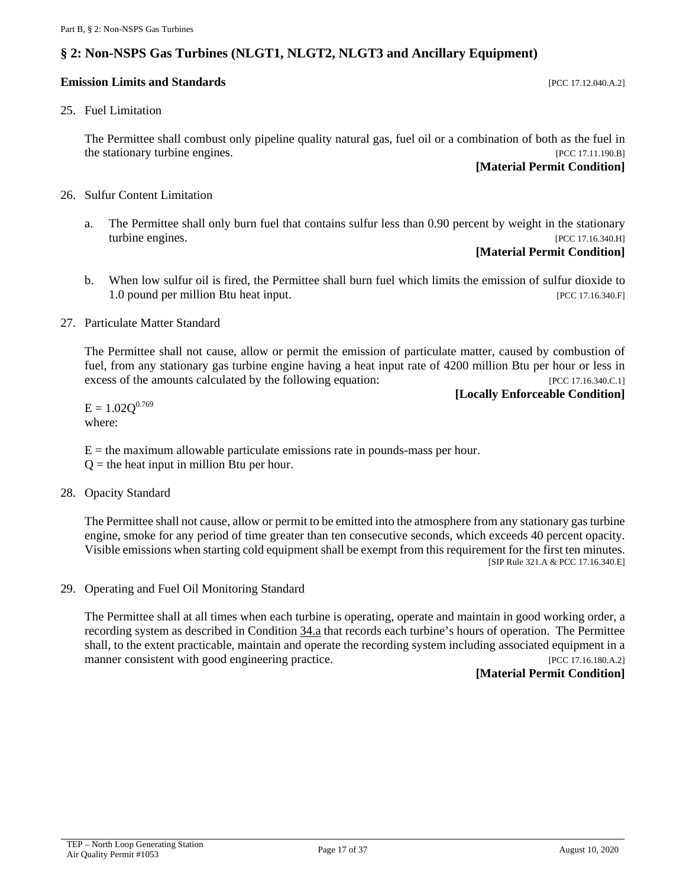# <span id="page-16-0"></span>**§ 2: Non-NSPS Gas Turbines (NLGT1, NLGT2, NLGT3 and Ancillary Equipment)**

#### **Emission Limits and Standards Exercíal Exercíal Exercíal Exercíal Exercíal Exercíal Exercíal Exercíal Exercíal Exercíal Exercíal Exercíal Exercíal Exercíal Exercíal Exercíal Exercíal Exercíal Exercíal Exercíal Exercíal**

#### 25. Fuel Limitation

The Permittee shall combust only pipeline quality natural gas, fuel oil or a combination of both as the fuel in the stationary turbine engines. [PCC 17.11.190.B]

#### **[Material Permit Condition]**

- 26. Sulfur Content Limitation
	- a. The Permittee shall only burn fuel that contains sulfur less than 0.90 percent by weight in the stationary turbine engines. [PCC 17.16.340.H]

# **[Material Permit Condition]**

b. When low sulfur oil is fired, the Permittee shall burn fuel which limits the emission of sulfur dioxide to 1.0 pound per million Btu heat input. The same state of the state of the state of the state of the state of the state of the state of the state of the state of the state of the state of the state of the state of the state

#### 27. Particulate Matter Standard

The Permittee shall not cause, allow or permit the emission of particulate matter, caused by combustion of fuel, from any stationary gas turbine engine having a heat input rate of 4200 million Btu per hour or less in excess of the amounts calculated by the following equation: [PCC 17.16.340.C.1]

#### **[Locally Enforceable Condition]**

 $E = 1.02Q^{0.769}$ where:

 $E =$  the maximum allowable particulate emissions rate in pounds-mass per hour.

 $Q =$  the heat input in million Btu per hour.

28. Opacity Standard

The Permittee shall not cause, allow or permit to be emitted into the atmosphere from any stationary gas turbine engine, smoke for any period of time greater than ten consecutive seconds, which exceeds 40 percent opacity. Visible emissions when starting cold equipment shall be exempt from this requirement for the first ten minutes. [SIP Rule 321.A & PCC 17.16.340.E]

29. Operating and Fuel Oil Monitoring Standard

The Permittee shall at all times when each turbine is operating, operate and maintain in good working order, a recording system as described in Condition [34.a](#page-17-0) that records each turbine's hours of operation. The Permittee shall, to the extent practicable, maintain and operate the recording system including associated equipment in a manner consistent with good engineering practice. [PCC 17.16.180.A.2]

#### **[Material Permit Condition]**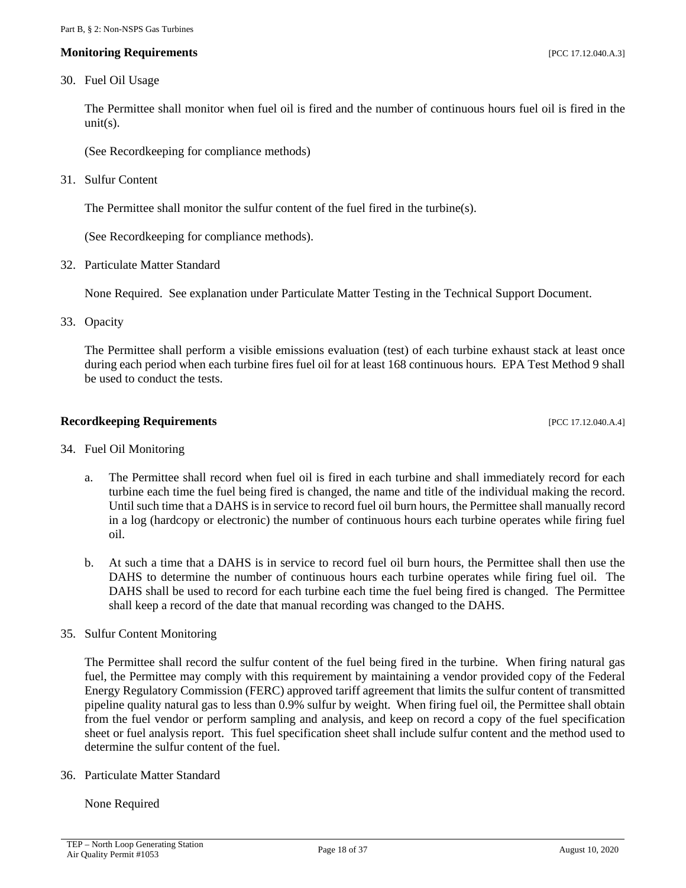#### **Monitoring Requirements and the sequence of the sequence of the sequence of the sequence of the sequence of the sequence of the sequence of the sequence of the sequence of the sequence of the sequence of the sequence of**

#### 30. Fuel Oil Usage

The Permittee shall monitor when fuel oil is fired and the number of continuous hours fuel oil is fired in the  $unit(s)$ .

(See Recordkeeping for compliance methods)

31. Sulfur Content

The Permittee shall monitor the sulfur content of the fuel fired in the turbine(s).

(See Recordkeeping for compliance methods).

32. Particulate Matter Standard

None Required. See explanation under Particulate Matter Testing in the Technical Support Document.

<span id="page-17-1"></span>33. Opacity

The Permittee shall perform a visible emissions evaluation (test) of each turbine exhaust stack at least once during each period when each turbine fires fuel oil for at least 168 continuous hours. EPA Test Method 9 shall be used to conduct the tests.

#### **Recordkeeping Requirements** [PCC 17.12.040.A.4]

- <span id="page-17-0"></span>34. Fuel Oil Monitoring
	- a. The Permittee shall record when fuel oil is fired in each turbine and shall immediately record for each turbine each time the fuel being fired is changed, the name and title of the individual making the record. Until such time that a DAHS is in service to record fuel oil burn hours, the Permittee shall manually record in a log (hardcopy or electronic) the number of continuous hours each turbine operates while firing fuel oil.
	- b. At such a time that a DAHS is in service to record fuel oil burn hours, the Permittee shall then use the DAHS to determine the number of continuous hours each turbine operates while firing fuel oil. The DAHS shall be used to record for each turbine each time the fuel being fired is changed. The Permittee shall keep a record of the date that manual recording was changed to the DAHS.
- 35. Sulfur Content Monitoring

The Permittee shall record the sulfur content of the fuel being fired in the turbine. When firing natural gas fuel, the Permittee may comply with this requirement by maintaining a vendor provided copy of the Federal Energy Regulatory Commission (FERC) approved tariff agreement that limits the sulfur content of transmitted pipeline quality natural gas to less than 0.9% sulfur by weight. When firing fuel oil, the Permittee shall obtain from the fuel vendor or perform sampling and analysis, and keep on record a copy of the fuel specification sheet or fuel analysis report. This fuel specification sheet shall include sulfur content and the method used to determine the sulfur content of the fuel.

36. Particulate Matter Standard

None Required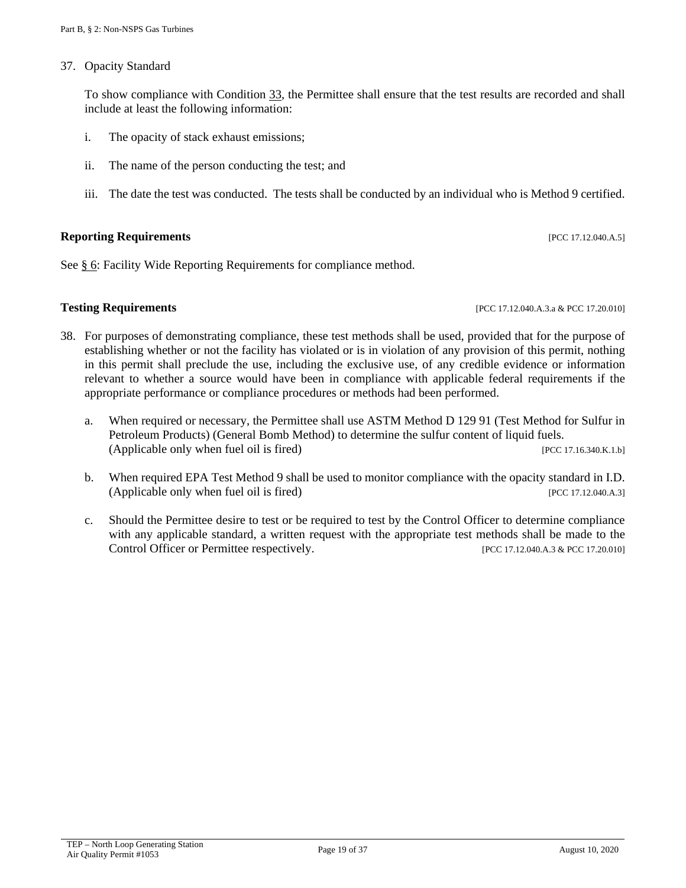37. Opacity Standard

To show compliance with Condition [33,](#page-17-1) the Permittee shall ensure that the test results are recorded and shall include at least the following information:

- i. The opacity of stack exhaust emissions;
- ii. The name of the person conducting the test; and
- iii. The date the test was conducted. The tests shall be conducted by an individual who is Method 9 certified.

#### **Reporting Requirements** *PCC 17.12.040.A.5***]**

See [§ 6:](#page-31-0) Facility Wide Reporting Requirements for compliance method.

**Testing Requirements [PCC 17.12.040.A.3.a & PCC 17.20.010]** 

- 38. For purposes of demonstrating compliance, these test methods shall be used, provided that for the purpose of establishing whether or not the facility has violated or is in violation of any provision of this permit, nothing in this permit shall preclude the use, including the exclusive use, of any credible evidence or information relevant to whether a source would have been in compliance with applicable federal requirements if the appropriate performance or compliance procedures or methods had been performed.
	- a. When required or necessary, the Permittee shall use ASTM Method D 129 91 (Test Method for Sulfur in Petroleum Products) (General Bomb Method) to determine the sulfur content of liquid fuels. (Applicable only when fuel oil is fired) [PCC 17.16.340.K.1.b]
	- b. When required EPA Test Method 9 shall be used to monitor compliance with the opacity standard in I.D. (Applicable only when fuel oil is fired) [PCC 17.12.040.A.3]
	- c. Should the Permittee desire to test or be required to test by the Control Officer to determine compliance with any applicable standard, a written request with the appropriate test methods shall be made to the Control Officer or Permittee respectively. [PCC 17.12.040.A.3 & PCC 17.20.010]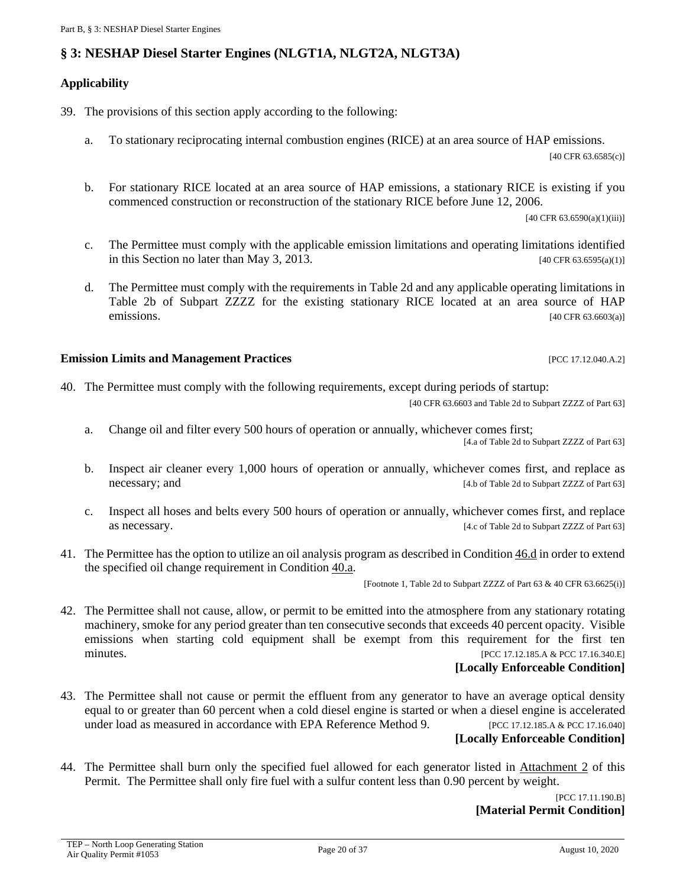# <span id="page-19-0"></span>**§ 3: NESHAP Diesel Starter Engines (NLGT1A, NLGT2A, NLGT3A)**

#### **Applicability**

39. The provisions of this section apply according to the following:

- a. To stationary reciprocating internal combustion engines (RICE) at an area source of HAP emissions. [40 CFR 63.6585(c)]
- b. For stationary RICE located at an area source of HAP emissions, a stationary RICE is existing if you commenced construction or reconstruction of the stationary RICE before June 12, 2006.

[40 CFR 63.6590(a)(1)(iii)]

- c. The Permittee must comply with the applicable emission limitations and operating limitations identified in this Section no later than May 3, 2013. [40 CFR 63.6595(a)(1)]
- d. The Permittee must comply with the requirements in Table 2d and any applicable operating limitations in Table 2b of Subpart ZZZZ for the existing stationary RICE located at an area source of HAP<br>emissions.  $[40 \text{ CFR } 63.6603(a)]$

#### **Emission Limits and Management Practices Emission Limits and Management Practices**

<span id="page-19-4"></span>40. The Permittee must comply with the following requirements, except during periods of startup:

[40 CFR 63.6603 and Table 2d to Subpart ZZZZ of Part 63]

<span id="page-19-1"></span>a. Change oil and filter every 500 hours of operation or annually, whichever comes first;

[4.a of Table 2d to Subpart ZZZZ of Part 63]

- b. Inspect air cleaner every 1,000 hours of operation or annually, whichever comes first, and replace as necessary; and [4.b of Table 2d to Subpart ZZZZ of Part 63]
- c. Inspect all hoses and belts every 500 hours of operation or annually, whichever comes first, and replace as necessary. [4.c of Table 2d to Subpart ZZZZ of Part 63]
- 41. The Permittee has the option to utilize an oil analysis program as described in Condition [46.d](#page-20-0) in order to extend the specified oil change requirement in Condition [40.a.](#page-19-1)

[Footnote 1, Table 2d to Subpart ZZZZ of Part 63 & 40 CFR 63.6625(i)]

42. The Permittee shall not cause, allow, or permit to be emitted into the atmosphere from any stationary rotating machinery, smoke for any period greater than ten consecutive seconds that exceeds 40 percent opacity. Visible emissions when starting cold equipment shall be exempt from this requirement for the first ten minutes. [PCC 17.12.185.A & PCC 17.10.340.E]

#### **[Locally Enforceable Condition]**

<span id="page-19-2"></span>43. The Permittee shall not cause or permit the effluent from any generator to have an average optical density equal to or greater than 60 percent when a cold diesel engine is started or when a diesel engine is accelerated under load as measured in accordance with EPA Reference Method 9. [PCC 17.12.185.A & PCC 17.16.040]

#### **[Locally Enforceable Condition]**

<span id="page-19-3"></span>44. The Permittee shall burn only the specified fuel allowed for each generator listed in [Attachment 2](#page-35-0) of this Permit. The Permittee shall only fire fuel with a sulfur content less than 0.90 percent by weight.

> [PCC 17.11.190.B] **[Material Permit Condition]**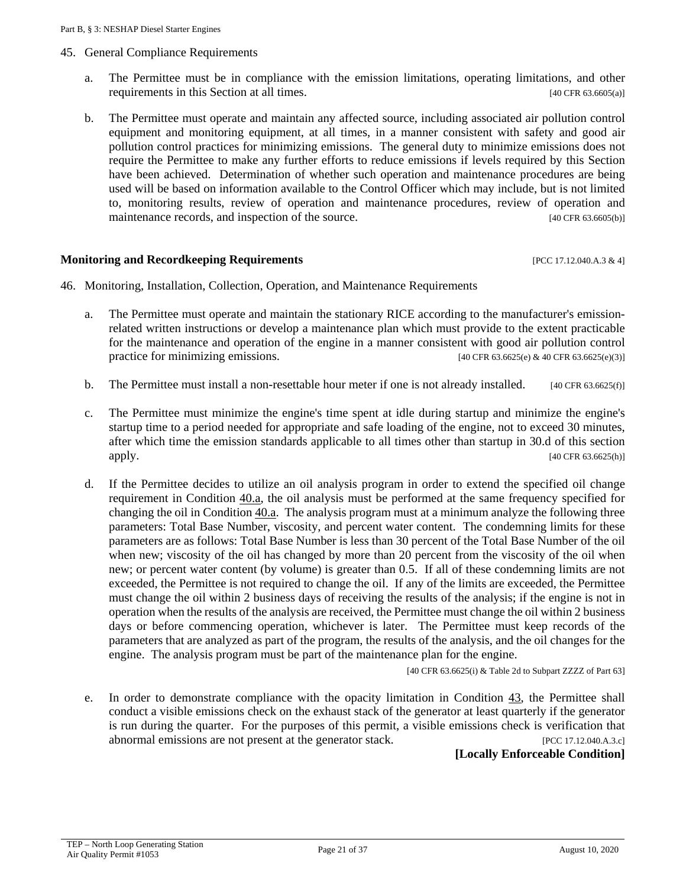- 45. General Compliance Requirements
	- a. The Permittee must be in compliance with the emission limitations, operating limitations, and other requirements in this Section at all times. [40 CFR 63.6605(a)]
	- b. The Permittee must operate and maintain any affected source, including associated air pollution control equipment and monitoring equipment, at all times, in a manner consistent with safety and good air pollution control practices for minimizing emissions. The general duty to minimize emissions does not require the Permittee to make any further efforts to reduce emissions if levels required by this Section have been achieved. Determination of whether such operation and maintenance procedures are being used will be based on information available to the Control Officer which may include, but is not limited to, monitoring results, review of operation and maintenance procedures, review of operation and maintenance records, and inspection of the source. [40 CFR 63.6605(b)]

#### **Monitoring and Recordkeeping Requirements** [PCC 17.12.040.A.3 & 4]

- <span id="page-20-0"></span>46. Monitoring, Installation, Collection, Operation, and Maintenance Requirements
	- a. The Permittee must operate and maintain the stationary RICE according to the manufacturer's emissionrelated written instructions or develop a maintenance plan which must provide to the extent practicable for the maintenance and operation of the engine in a manner consistent with good air pollution control practice for minimizing emissions. [40 CFR 63.6625(e) & 40 CFR 63.6625(e)(3)]
	- b. The Permittee must install a non-resettable hour meter if one is not already installed.  $[40 \text{ CFR } 63.6625(\text{f})]$
	- c. The Permittee must minimize the engine's time spent at idle during startup and minimize the engine's startup time to a period needed for appropriate and safe loading of the engine, not to exceed 30 minutes, after which time the emission standards applicable to all times other than startup in 30.d of this section  $[40 \text{ CFR } 63.6625 \text{ (h)}]$
	- d. If the Permittee decides to utilize an oil analysis program in order to extend the specified oil change requirement in Condition [40.a,](#page-19-1) the oil analysis must be performed at the same frequency specified for changing the oil in Condition [40.a.](#page-19-1) The analysis program must at a minimum analyze the following three parameters: Total Base Number, viscosity, and percent water content. The condemning limits for these parameters are as follows: Total Base Number is less than 30 percent of the Total Base Number of the oil when new; viscosity of the oil has changed by more than 20 percent from the viscosity of the oil when new; or percent water content (by volume) is greater than 0.5. If all of these condemning limits are not exceeded, the Permittee is not required to change the oil. If any of the limits are exceeded, the Permittee must change the oil within 2 business days of receiving the results of the analysis; if the engine is not in operation when the results of the analysis are received, the Permittee must change the oil within 2 business days or before commencing operation, whichever is later. The Permittee must keep records of the parameters that are analyzed as part of the program, the results of the analysis, and the oil changes for the engine. The analysis program must be part of the maintenance plan for the engine.

[40 CFR 63.6625(i) & Table 2d to Subpart ZZZZ of Part 63]

e. In order to demonstrate compliance with the opacity limitation in Condition [43,](#page-19-2) the Permittee shall conduct a visible emissions check on the exhaust stack of the generator at least quarterly if the generator is run during the quarter. For the purposes of this permit, a visible emissions check is verification that abnormal emissions are not present at the generator stack. [PCC 17.12.040.A.3.c]

#### **[Locally Enforceable Condition]**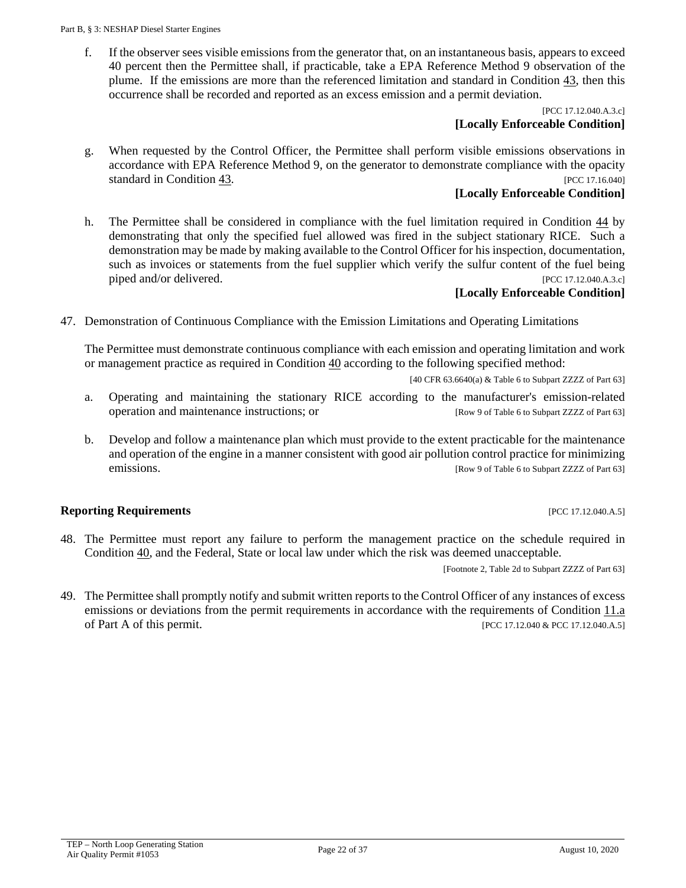f. If the observer sees visible emissions from the generator that, on an instantaneous basis, appears to exceed 40 percent then the Permittee shall, if practicable, take a EPA Reference Method 9 observation of the plume. If the emissions are more than the referenced limitation and standard in Condition [43,](#page-19-2) then this occurrence shall be recorded and reported as an excess emission and a permit deviation.

#### [PCC 17.12.040.A.3.c] **[Locally Enforceable Condition]**

g. When requested by the Control Officer, the Permittee shall perform visible emissions observations in accordance with EPA Reference Method 9, on the generator to demonstrate compliance with the opacity standard in Condition  $\frac{43}{15}$ . [PCC 17.16.040]

### **[Locally Enforceable Condition]**

h. The Permittee shall be considered in compliance with the fuel limitation required in Condition [44](#page-19-3) by demonstrating that only the specified fuel allowed was fired in the subject stationary RICE. Such a demonstration may be made by making available to the Control Officer for his inspection, documentation, such as invoices or statements from the fuel supplier which verify the sulfur content of the fuel being piped and/or delivered. [PCC 17.12.040.A.3.c]

# **[Locally Enforceable Condition]**

47. Demonstration of Continuous Compliance with the Emission Limitations and Operating Limitations

The Permittee must demonstrate continuous compliance with each emission and operating limitation and work or management practice as required in Condition [40](#page-19-4) according to the following specified method:

[40 CFR 63.6640(a) & Table 6 to Subpart ZZZZ of Part 63]

- a. Operating and maintaining the stationary RICE according to the manufacturer's emission-related operation and maintenance instructions; or [Row 9 of Table 6 to Subpart ZZZZ of Part 63]
- b. Develop and follow a maintenance plan which must provide to the extent practicable for the maintenance and operation of the engine in a manner consistent with good air pollution control practice for minimizing emissions. [Row 9 of Table 6 to Subpart ZZZZ of Part 63]

### **Reporting Requirements** *PCC 17.12.040.A.5***]**

48. The Permittee must report any failure to perform the management practice on the schedule required in Condition [40,](#page-19-4) and the Federal, State or local law under which the risk was deemed unacceptable.

[Footnote 2, Table 2d to Subpart ZZZZ of Part 63]

49. The Permittee shall promptly notify and submit written reports to the Control Officer of any instances of excess emissions or deviations from the permit requirements in accordance with the requirements of Condition [11.a](#page-6-1) of Part A of this permit. [PCC 17.12.040 & PCC 17.12.040.A.5]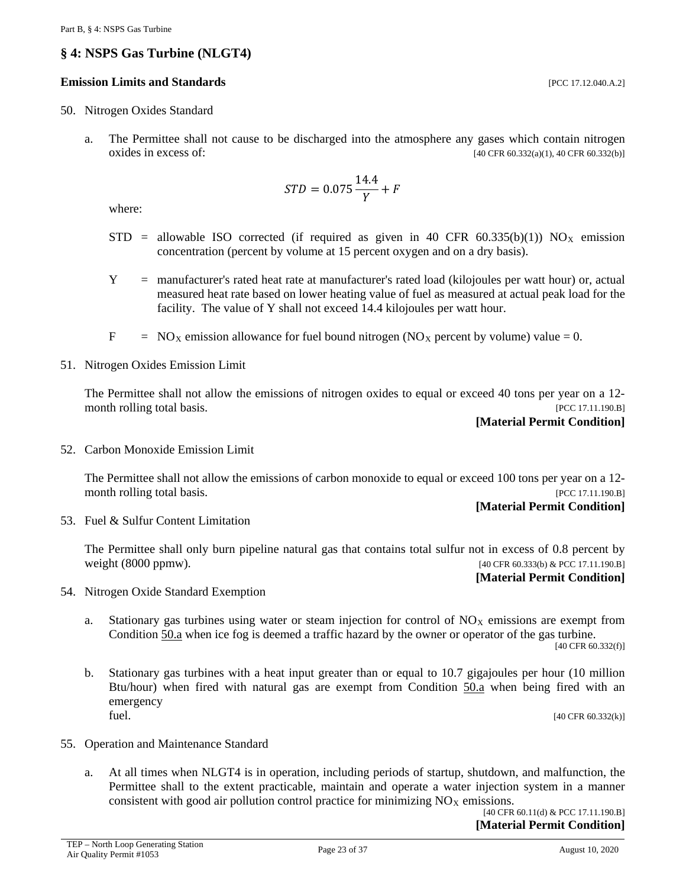# <span id="page-22-0"></span>**§ 4: NSPS Gas Turbine (NLGT4)**

#### **Emission Limits and Standards** [PCC 17.12.040.A.2]

- <span id="page-22-1"></span>50. Nitrogen Oxides Standard
	- a. The Permittee shall not cause to be discharged into the atmosphere any gases which contain nitrogen oxides in excess of:  $[40 \text{ CFR } 60.332(a)(1), 40 \text{ CFR } 60.332(b)]$

$$
STD = 0.075 \frac{14.4}{Y} + F
$$

where:

- $STD$  = allowable ISO corrected (if required as given in 40 CFR 60.335(b)(1)) NO<sub>X</sub> emission concentration (percent by volume at 15 percent oxygen and on a dry basis).
- Y = manufacturer's rated heat rate at manufacturer's rated load (kilojoules per watt hour) or, actual measured heat rate based on lower heating value of fuel as measured at actual peak load for the facility. The value of Y shall not exceed 14.4 kilojoules per watt hour.
- $F = NO<sub>X</sub>$  emission allowance for fuel bound nitrogen (NO<sub>x</sub> percent by volume) value = 0.
- <span id="page-22-3"></span>51. Nitrogen Oxides Emission Limit

The Permittee shall not allow the emissions of nitrogen oxides to equal or exceed 40 tons per year on a 12 month rolling total basis. [PCC 17.11.190.B]

#### **[Material Permit Condition]**

<span id="page-22-4"></span>52. Carbon Monoxide Emission Limit

The Permittee shall not allow the emissions of carbon monoxide to equal or exceed 100 tons per year on a 12 month rolling total basis. [PCC 17.11.190.B]

#### **[Material Permit Condition]**

53. Fuel & Sulfur Content Limitation

The Permittee shall only burn pipeline natural gas that contains total sulfur not in excess of 0.8 percent by weight (8000 ppmw). [40 CFR 60.333(b) & PCC 17.11.190.B]

#### **[Material Permit Condition]**

- 54. Nitrogen Oxide Standard Exemption
	- a. Stationary gas turbines using water or steam injection for control of  $NO<sub>X</sub>$  emissions are exempt from Condition [50.a](#page-22-1) when ice fog is deemed a traffic hazard by the owner or operator of the gas turbine.

[40 CFR 60.332(f)]

b. Stationary gas turbines with a heat input greater than or equal to 10.7 gigajoules per hour (10 million Btu/hour) when fired with natural gas are exempt from Condition [50.a](#page-22-1) when being fired with an emergency  $[40 \text{ CFR } 60.332(k)]$ 

- <span id="page-22-2"></span>55. Operation and Maintenance Standard
	- a. At all times when NLGT4 is in operation, including periods of startup, shutdown, and malfunction, the Permittee shall to the extent practicable, maintain and operate a water injection system in a manner consistent with good air pollution control practice for minimizing  $NO<sub>X</sub>$  emissions.

[40 CFR 60.11(d) & PCC 17.11.190.B] **[Material Permit Condition]**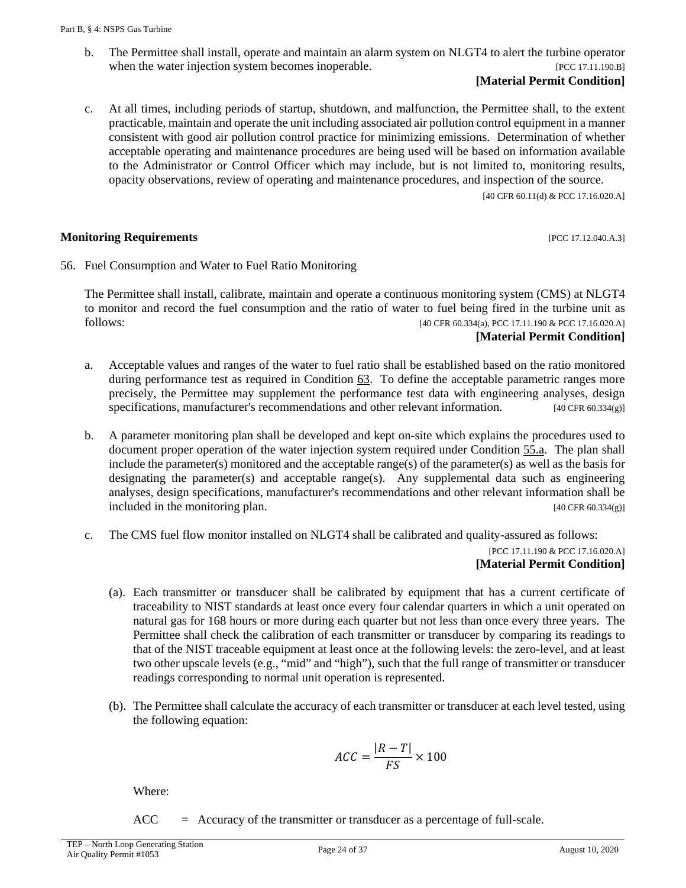b. The Permittee shall install, operate and maintain an alarm system on NLGT4 to alert the turbine operator when the water injection system becomes inoperable. [PCC 17.11.190.B]

#### **[Material Permit Condition]**

c. At all times, including periods of startup, shutdown, and malfunction, the Permittee shall, to the extent practicable, maintain and operate the unit including associated air pollution control equipment in a manner consistent with good air pollution control practice for minimizing emissions. Determination of whether acceptable operating and maintenance procedures are being used will be based on information available to the Administrator or Control Officer which may include, but is not limited to, monitoring results, opacity observations, review of operating and maintenance procedures, and inspection of the source.

[40 CFR 60.11(d) & PCC 17.16.020.A]

#### **Monitoring Requirements and the sequence of the sequence of the sequence of the sequence of the sequence of the sequence of the sequence of the sequence of the sequence of the sequence of the sequence of the sequence of**

<span id="page-23-0"></span>56. Fuel Consumption and Water to Fuel Ratio Monitoring

The Permittee shall install, calibrate, maintain and operate a continuous monitoring system (CMS) at NLGT4 to monitor and record the fuel consumption and the ratio of water to fuel being fired in the turbine unit as follows: [40 CFR 60.334(a), PCC 17.11.190 & PCC 17.16.020.A]

### **[Material Permit Condition]**

- a. Acceptable values and ranges of the water to fuel ratio shall be established based on the ratio monitored during performance test as required in Condition [63.](#page-27-0) To define the acceptable parametric ranges more precisely, the Permittee may supplement the performance test data with engineering analyses, design specifications, manufacturer's recommendations and other relevant information. [40 CFR 60.334(g)]
- b. A parameter monitoring plan shall be developed and kept on-site which explains the procedures used to document proper operation of the water injection system required under Condition [55.a.](#page-22-2) The plan shall include the parameter(s) monitored and the acceptable range(s) of the parameter(s) as well as the basis for designating the parameter(s) and acceptable range(s). Any supplemental data such as engineering analyses, design specifications, manufacturer's recommendations and other relevant information shall be included in the monitoring plan.  $[40 \text{ CFR } 60.334(g)]$
- c. The CMS fuel flow monitor installed on NLGT4 shall be calibrated and quality-assured as follows:

#### [PCC 17.11.190 & PCC 17.16.020.A] **[Material Permit Condition]**

- (a). Each transmitter or transducer shall be calibrated by equipment that has a current certificate of traceability to NIST standards at least once every four calendar quarters in which a unit operated on natural gas for 168 hours or more during each quarter but not less than once every three years. The Permittee shall check the calibration of each transmitter or transducer by comparing its readings to that of the NIST traceable equipment at least once at the following levels: the zero-level, and at least two other upscale levels (e.g., "mid" and "high"), such that the full range of transmitter or transducer readings corresponding to normal unit operation is represented.
- (b). The Permittee shall calculate the accuracy of each transmitter or transducer at each level tested, using the following equation:

$$
ACC = \frac{|R - T|}{FS} \times 100
$$

Where:

 $ACC = Accuracy of the transmitter or transducer as a percentage of full-scale.$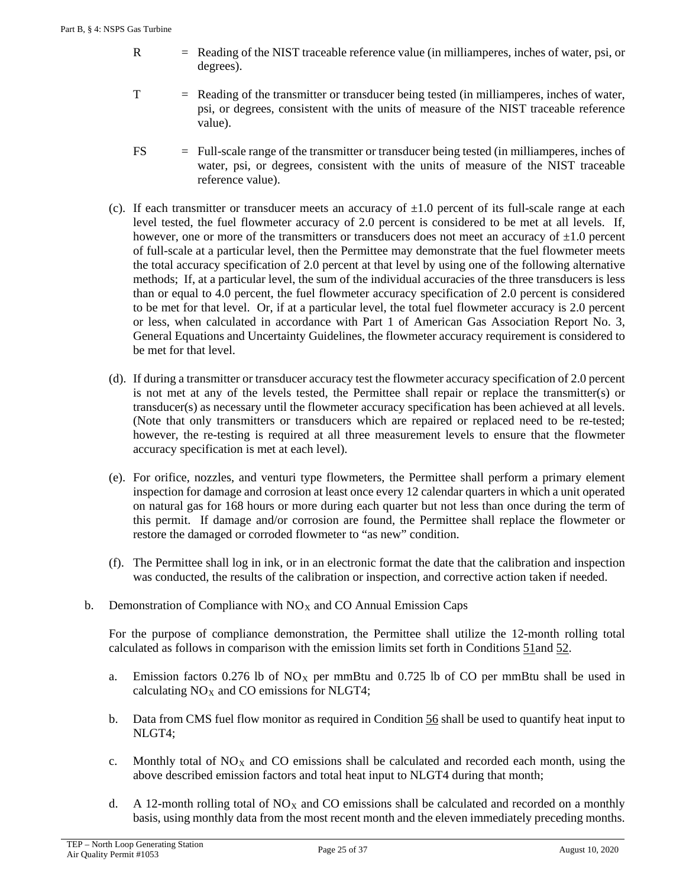- R = Reading of the NIST traceable reference value (in milliamperes, inches of water, psi, or degrees).
- T = Reading of the transmitter or transducer being tested (in milliamperes, inches of water, psi, or degrees, consistent with the units of measure of the NIST traceable reference value).
- FS = Full-scale range of the transmitter or transducer being tested (in milliamperes, inches of water, psi, or degrees, consistent with the units of measure of the NIST traceable reference value).
- (c). If each transmitter or transducer meets an accuracy of  $\pm 1.0$  percent of its full-scale range at each level tested, the fuel flowmeter accuracy of 2.0 percent is considered to be met at all levels. If, however, one or more of the transmitters or transducers does not meet an accuracy of  $\pm 1.0$  percent of full-scale at a particular level, then the Permittee may demonstrate that the fuel flowmeter meets the total accuracy specification of 2.0 percent at that level by using one of the following alternative methods; If, at a particular level, the sum of the individual accuracies of the three transducers is less than or equal to 4.0 percent, the fuel flowmeter accuracy specification of 2.0 percent is considered to be met for that level. Or, if at a particular level, the total fuel flowmeter accuracy is 2.0 percent or less, when calculated in accordance with Part 1 of American Gas Association Report No. 3, General Equations and Uncertainty Guidelines, the flowmeter accuracy requirement is considered to be met for that level.
- (d). If during a transmitter or transducer accuracy test the flowmeter accuracy specification of 2.0 percent is not met at any of the levels tested, the Permittee shall repair or replace the transmitter(s) or transducer(s) as necessary until the flowmeter accuracy specification has been achieved at all levels. (Note that only transmitters or transducers which are repaired or replaced need to be re-tested; however, the re-testing is required at all three measurement levels to ensure that the flowmeter accuracy specification is met at each level).
- (e). For orifice, nozzles, and venturi type flowmeters, the Permittee shall perform a primary element inspection for damage and corrosion at least once every 12 calendar quarters in which a unit operated on natural gas for 168 hours or more during each quarter but not less than once during the term of this permit. If damage and/or corrosion are found, the Permittee shall replace the flowmeter or restore the damaged or corroded flowmeter to "as new" condition.
- (f). The Permittee shall log in ink, or in an electronic format the date that the calibration and inspection was conducted, the results of the calibration or inspection, and corrective action taken if needed.
- b. Demonstration of Compliance with  $NO<sub>X</sub>$  and CO Annual Emission Caps

For the purpose of compliance demonstration, the Permittee shall utilize the 12-month rolling total calculated as follows in comparison with the emission limits set forth in Conditions [51a](#page-22-3)nd [52.](#page-22-4)

- a. Emission factors 0.276 lb of  $NO<sub>X</sub>$  per mmBtu and 0.725 lb of CO per mmBtu shall be used in calculating  $NO<sub>X</sub>$  and CO emissions for NLGT4;
- b. Data from CMS fuel flow monitor as required in Condition [56](#page-23-0) shall be used to quantify heat input to NLGT4;
- c. Monthly total of  $NO<sub>X</sub>$  and CO emissions shall be calculated and recorded each month, using the above described emission factors and total heat input to NLGT4 during that month;
- d. A 12-month rolling total of  $NO<sub>X</sub>$  and CO emissions shall be calculated and recorded on a monthly basis, using monthly data from the most recent month and the eleven immediately preceding months.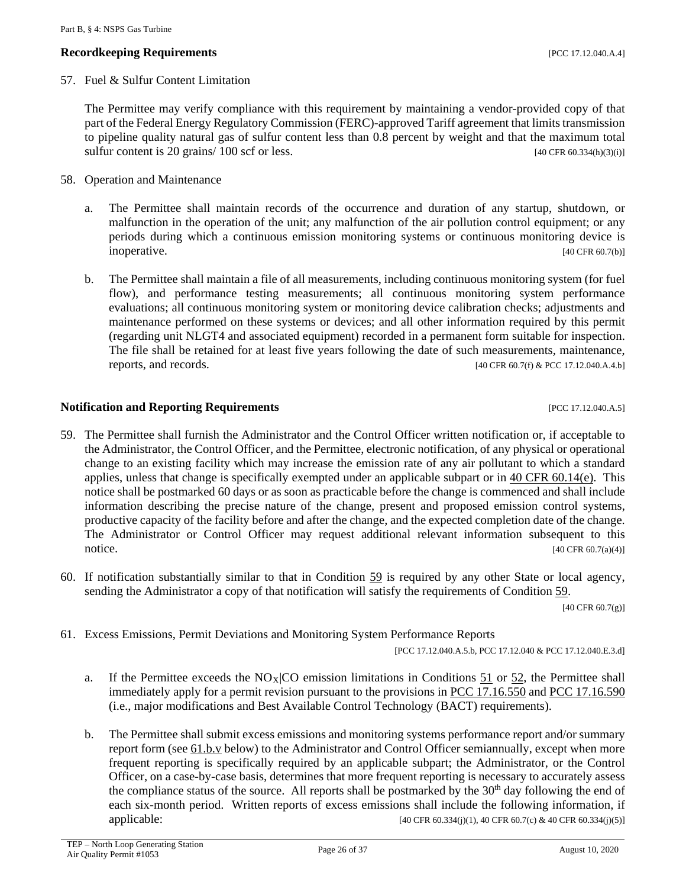#### **Recordkeeping Requirements** [PCC 17.12.040.A.4]

57. Fuel & Sulfur Content Limitation

The Permittee may verify compliance with this requirement by maintaining a vendor-provided copy of that part of the Federal Energy Regulatory Commission (FERC)-approved Tariff agreement that limits transmission to pipeline quality natural gas of sulfur content less than 0.8 percent by weight and that the maximum total sulfur content is 20 grains/  $100$  scf or less. [40 CFR 60.334(h)(3)(i)]

- 58. Operation and Maintenance
	- a. The Permittee shall maintain records of the occurrence and duration of any startup, shutdown, or malfunction in the operation of the unit; any malfunction of the air pollution control equipment; or any periods during which a continuous emission monitoring systems or continuous monitoring device is inoperative. [40 CFR 60.7(b)]
	- b. The Permittee shall maintain a file of all measurements, including continuous monitoring system (for fuel flow), and performance testing measurements; all continuous monitoring system performance evaluations; all continuous monitoring system or monitoring device calibration checks; adjustments and maintenance performed on these systems or devices; and all other information required by this permit (regarding unit NLGT4 and associated equipment) recorded in a permanent form suitable for inspection. The file shall be retained for at least five years following the date of such measurements, maintenance, reports, and records.  $[40 \text{ CFR } 60.7 \text{ (f)} \& \text{PCC } 17.12.040 \text{ A}.4. \text{b}]$

#### **Notification and Reporting Requirements Example 20 and Separate Requirements PCC 17.12.040.A.5**]

- <span id="page-25-0"></span>59. The Permittee shall furnish the Administrator and the Control Officer written notification or, if acceptable to the Administrator, the Control Officer, and the Permittee, electronic notification, of any physical or operational change to an existing facility which may increase the emission rate of any air pollutant to which a standard applies, unless that change is specifically exempted under an applicable subpart or in [40 CFR 60.14\(e\).](https://www.ecfr.gov/cgi-bin/text-idx?SID=6b59b9ac7e449aeb1c0f550774281e48&mc=true&node=se40.7.60_114&rgn=div8) This notice shall be postmarked 60 days or as soon as practicable before the change is commenced and shall include information describing the precise nature of the change, present and proposed emission control systems, productive capacity of the facility before and after the change, and the expected completion date of the change. The Administrator or Control Officer may request additional relevant information subsequent to this  $140 \text{ CFR } 60.7(a)(4)$
- 60. If notification substantially similar to that in Condition  $59$  is required by any other State or local agency, sending the Administrator a copy of that notification will satisfy the requirements of Condition [59.](#page-25-0)

[40 CFR 60.7(g)]

61. Excess Emissions, Permit Deviations and Monitoring System Performance Reports

[PCC 17.12.040.A.5.b, PCC 17.12.040 & PCC 17.12.040.E.3.d]

- a. If the Permittee exceeds the  $NO<sub>X</sub>|CO$  emission limitations in Conditions [51](#page-22-3) or [52,](#page-22-4) the Permittee shall immediately apply for a permit revision pursuant to the provisions in [PCC 17.16.550](http://library.amlegal.com/nxt/gateway.dll/Arizona/pimacounty_az/title17airqualitycontrol/chapter1716emissionlimitingstandards?f=templates$fn=default.htm$3.0$vid=amlegal:pimacounty_az$anc=JD_17.16.550) and [PCC 17.16.590](http://library.amlegal.com/nxt/gateway.dll/Arizona/pimacounty_az/title17airqualitycontrol/chapter1716emissionlimitingstandards?f=templates$fn=default.htm$3.0$vid=amlegal:pimacounty_az$anc=JD_17.16.590) (i.e., major modifications and Best Available Control Technology (BACT) requirements).
- b. The Permittee shall submit excess emissions and monitoring systems performance report and/or summary report form (see [61.b.v](#page-26-0) below) to the Administrator and Control Officer semiannually, except when more frequent reporting is specifically required by an applicable subpart; the Administrator, or the Control Officer, on a case-by-case basis, determines that more frequent reporting is necessary to accurately assess the compliance status of the source. All reports shall be postmarked by the 30<sup>th</sup> day following the end of each six-month period. Written reports of excess emissions shall include the following information, if applicable: [40 CFR 60.334(j)(1), 40 CFR 60.7(c) & 40 CFR 60.334(j)(5)]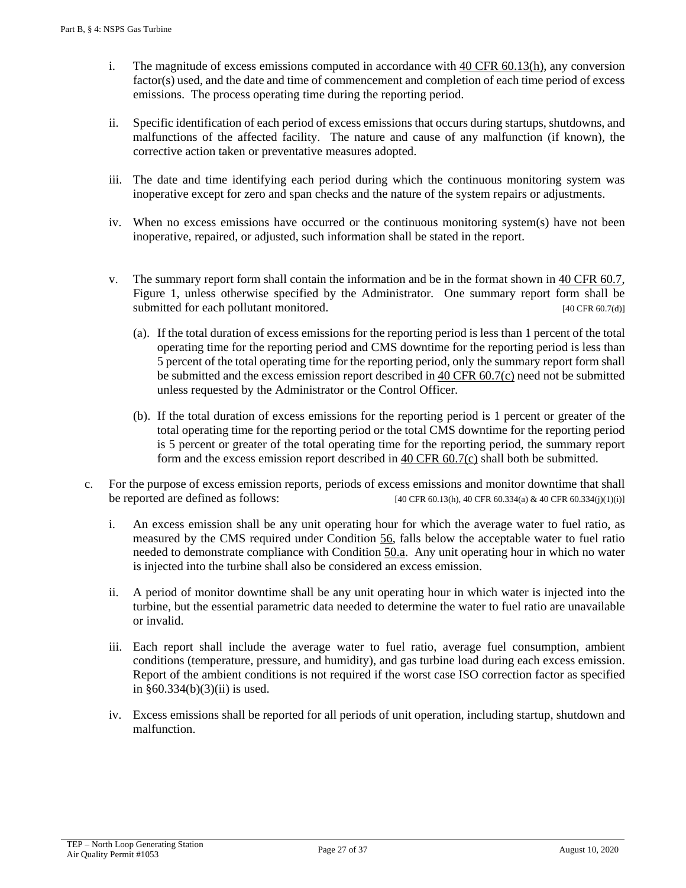- i. The magnitude of excess emissions computed in accordance with [40 CFR 60.13\(h\),](https://www.ecfr.gov/cgi-bin/text-idx?SID=6b59b9ac7e449aeb1c0f550774281e48&mc=true&node=se40.7.60_113&rgn=div8) any conversion factor(s) used, and the date and time of commencement and completion of each time period of excess emissions. The process operating time during the reporting period.
- ii. Specific identification of each period of excess emissions that occurs during startups, shutdowns, and malfunctions of the affected facility. The nature and cause of any malfunction (if known), the corrective action taken or preventative measures adopted.
- iii. The date and time identifying each period during which the continuous monitoring system was inoperative except for zero and span checks and the nature of the system repairs or adjustments.
- iv. When no excess emissions have occurred or the continuous monitoring system(s) have not been inoperative, repaired, or adjusted, such information shall be stated in the report.
- <span id="page-26-0"></span>v. The summary report form shall contain the information and be in the format shown in [40 CFR 60.7,](https://www.ecfr.gov/cgi-bin/text-idx?SID=155e6477791fce3c619381c266c3bafd&mc=true&node=se40.7.60_17&rgn=div8)  Figure 1, unless otherwise specified by the Administrator. One summary report form shall be submitted for each pollutant monitored. [40 CFR 60.7(d)]
	- (a). If the total duration of excess emissions for the reporting period is less than 1 percent of the total operating time for the reporting period and CMS downtime for the reporting period is less than 5 percent of the total operating time for the reporting period, only the summary report form shall be submitted and the excess emission report described in [40 CFR 60.7\(c\)](https://www.ecfr.gov/cgi-bin/text-idx?SID=155e6477791fce3c619381c266c3bafd&mc=true&node=se40.7.60_17&rgn=div8) need not be submitted unless requested by the Administrator or the Control Officer.
	- (b). If the total duration of excess emissions for the reporting period is 1 percent or greater of the total operating time for the reporting period or the total CMS downtime for the reporting period is 5 percent or greater of the total operating time for the reporting period, the summary report form and the excess emission report described in [40 CFR 60.7\(c\)](https://www.ecfr.gov/cgi-bin/text-idx?SID=155e6477791fce3c619381c266c3bafd&mc=true&node=se40.7.60_17&rgn=div8) shall both be submitted.
- c. For the purpose of excess emission reports, periods of excess emissions and monitor downtime that shall be reported are defined as follows:  $[40 \text{ CFR } 60.13(h), 40 \text{ CFR } 60.334(a) \& 40 \text{ CFR } 60.334(j)(1)(i)]$ 
	- i. An excess emission shall be any unit operating hour for which the average water to fuel ratio, as measured by the CMS required under Condition [56,](#page-23-0) falls below the acceptable water to fuel ratio needed to demonstrate compliance with Condition [50.a.](#page-22-1) Any unit operating hour in which no water is injected into the turbine shall also be considered an excess emission.
	- ii. A period of monitor downtime shall be any unit operating hour in which water is injected into the turbine, but the essential parametric data needed to determine the water to fuel ratio are unavailable or invalid.
	- iii. Each report shall include the average water to fuel ratio, average fuel consumption, ambient conditions (temperature, pressure, and humidity), and gas turbine load during each excess emission. Report of the ambient conditions is not required if the worst case ISO correction factor as specified in §60.334(b)(3)(ii) is used.
	- iv. Excess emissions shall be reported for all periods of unit operation, including startup, shutdown and malfunction.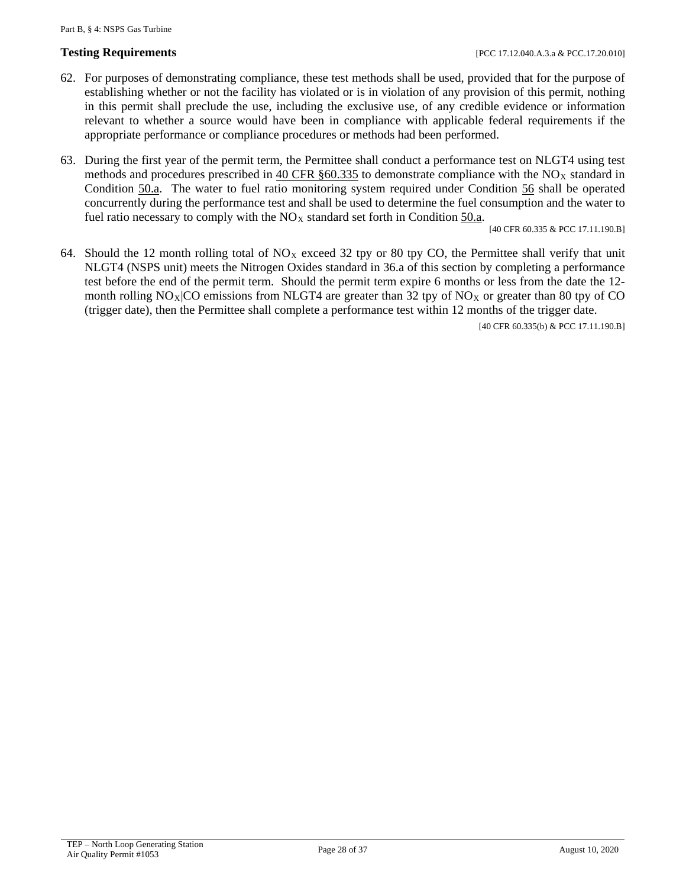- 62. For purposes of demonstrating compliance, these test methods shall be used, provided that for the purpose of establishing whether or not the facility has violated or is in violation of any provision of this permit, nothing in this permit shall preclude the use, including the exclusive use, of any credible evidence or information relevant to whether a source would have been in compliance with applicable federal requirements if the appropriate performance or compliance procedures or methods had been performed.
- <span id="page-27-0"></span>63. During the first year of the permit term, the Permittee shall conduct a performance test on NLGT4 using test methods and procedures prescribed in  $40 \text{ CFR }$  \$60.335 to demonstrate compliance with the NO<sub>x</sub> standard in Condition [50.a.](#page-22-1) The water to fuel ratio monitoring system required under Condition [56](#page-23-0) shall be operated concurrently during the performance test and shall be used to determine the fuel consumption and the water to fuel ratio necessary to comply with the  $NO<sub>X</sub>$  standard set forth in Condition  $50.a$ .

[40 CFR 60.335 & PCC 17.11.190.B]

64. Should the 12 month rolling total of  $NO<sub>X</sub>$  exceed 32 tpy or 80 tpy CO, the Permittee shall verify that unit NLGT4 (NSPS unit) meets the Nitrogen Oxides standard in 36.a of this section by completing a performance test before the end of the permit term. Should the permit term expire 6 months or less from the date the 12 month rolling  $NO_X|CO$  emissions from NLGT4 are greater than 32 tpy of  $NO_X$  or greater than 80 tpy of CO (trigger date), then the Permittee shall complete a performance test within 12 months of the trigger date.

[40 CFR 60.335(b) & PCC 17.11.190.B]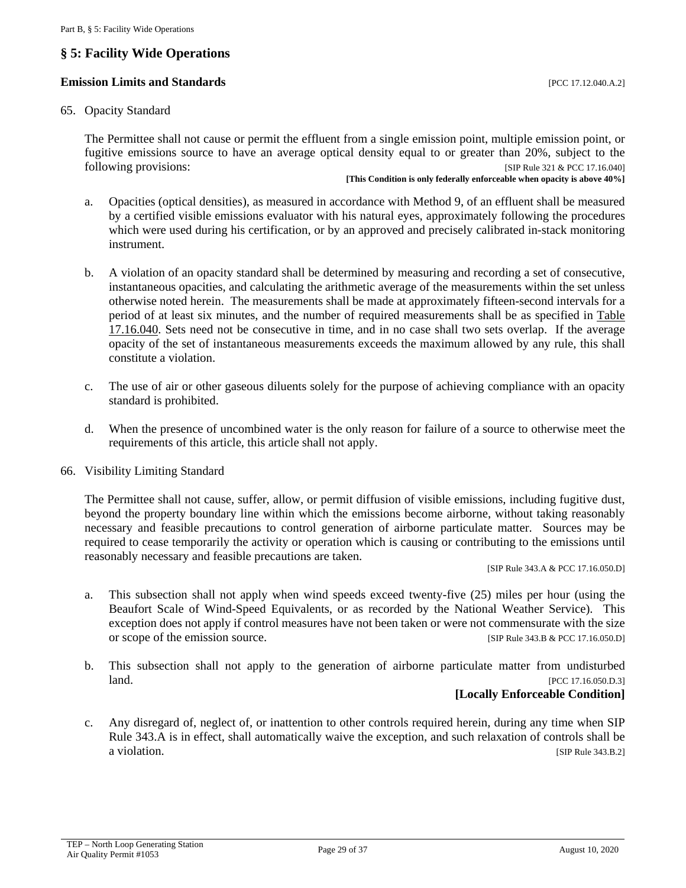# <span id="page-28-0"></span>**§ 5: Facility Wide Operations**

#### **Emission Limits and Standards Exercíal Exercíal Exercíal Exercíal Exercíal Exercíal Exercíal Exercíal Exercíal Exercíal Exercíal Exercíal Exercíal Exercíal Exercíal Exercíal Exercíal Exercíal Exercíal Exercíal Exercíal**

#### <span id="page-28-1"></span>65. Opacity Standard

The Permittee shall not cause or permit the effluent from a single emission point, multiple emission point, or fugitive emissions source to have an average optical density equal to or greater than 20%, subject to the following provisions: [SIP Rule 321 & PCC 17.16.040]

**[This Condition is only federally enforceable when opacity is above 40%]**

- a. Opacities (optical densities), as measured in accordance with Method 9, of an effluent shall be measured by a certified visible emissions evaluator with his natural eyes, approximately following the procedures which were used during his certification, or by an approved and precisely calibrated in-stack monitoring instrument.
- b. A violation of an opacity standard shall be determined by measuring and recording a set of consecutive, instantaneous opacities, and calculating the arithmetic average of the measurements within the set unless otherwise noted herein. The measurements shall be made at approximately fifteen-second intervals for a period of at least six minutes, and the number of required measurements shall be as specified in [Table](http://library.amlegal.com/nxt/gateway.dll/Arizona/pimacounty_az/title17airqualitycontrol/chapter1716emissionlimitingstandards?f=templates$fn=default.htm$3.0$vid=amlegal:pimacounty_az$anc=JD_Table17.16.040)  [17.16.040.](http://library.amlegal.com/nxt/gateway.dll/Arizona/pimacounty_az/title17airqualitycontrol/chapter1716emissionlimitingstandards?f=templates$fn=default.htm$3.0$vid=amlegal:pimacounty_az$anc=JD_Table17.16.040) Sets need not be consecutive in time, and in no case shall two sets overlap. If the average opacity of the set of instantaneous measurements exceeds the maximum allowed by any rule, this shall constitute a violation.
- c. The use of air or other gaseous diluents solely for the purpose of achieving compliance with an opacity standard is prohibited.
- d. When the presence of uncombined water is the only reason for failure of a source to otherwise meet the requirements of this article, this article shall not apply.
- 66. Visibility Limiting Standard

The Permittee shall not cause, suffer, allow, or permit diffusion of visible emissions, including fugitive dust, beyond the property boundary line within which the emissions become airborne, without taking reasonably necessary and feasible precautions to control generation of airborne particulate matter. Sources may be required to cease temporarily the activity or operation which is causing or contributing to the emissions until reasonably necessary and feasible precautions are taken.

[SIP Rule 343.A & PCC 17.16.050.D]

- a. This subsection shall not apply when wind speeds exceed twenty-five (25) miles per hour (using the Beaufort Scale of Wind-Speed Equivalents, or as recorded by the National Weather Service). This exception does not apply if control measures have not been taken or were not commensurate with the size or scope of the emission source. [SIP Rule 343.B & PCC 17.16.050.D]
- b. This subsection shall not apply to the generation of airborne particulate matter from undisturbed **land.** [PCC 17.16.050.D.3]

### **[Locally Enforceable Condition]**

c. Any disregard of, neglect of, or inattention to other controls required herein, during any time when SIP Rule 343.A is in effect, shall automatically waive the exception, and such relaxation of controls shall be a violation. [SIP Rule 343.B.2]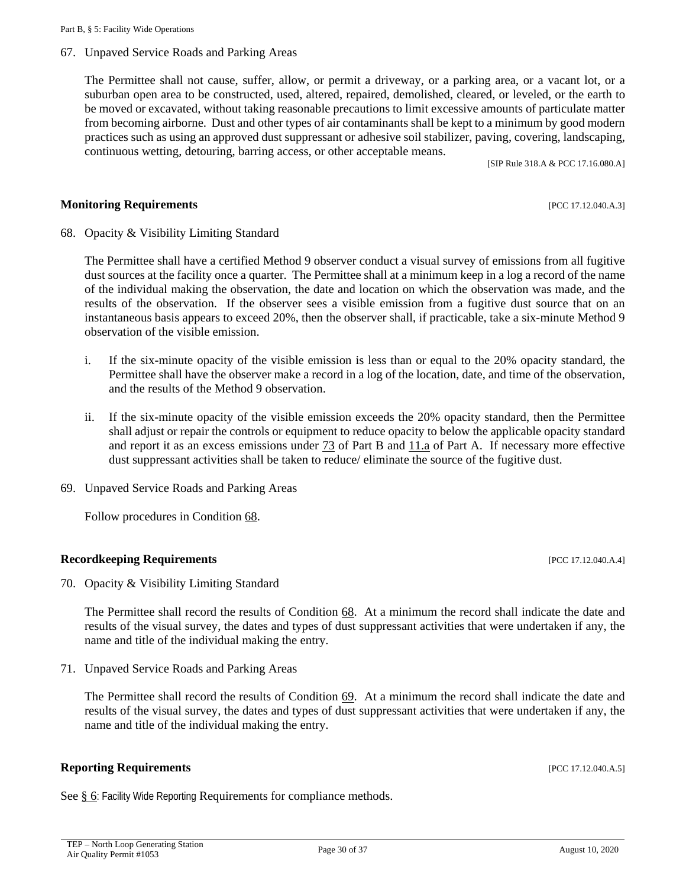# 67. Unpaved Service Roads and Parking Areas

The Permittee shall not cause, suffer, allow, or permit a driveway, or a parking area, or a vacant lot, or a suburban open area to be constructed, used, altered, repaired, demolished, cleared, or leveled, or the earth to be moved or excavated, without taking reasonable precautions to limit excessive amounts of particulate matter from becoming airborne. Dust and other types of air contaminants shall be kept to a minimum by good modern practices such as using an approved dust suppressant or adhesive soil stabilizer, paving, covering, landscaping, continuous wetting, detouring, barring access, or other acceptable means.

[SIP Rule 318.A & PCC 17.16.080.A]

#### **Monitoring Requirements and the sequence of the sequence of the sequence of the sequence of the sequence of the sequence of the sequence of the sequence of the sequence of the sequence of the sequence of the sequence of**

<span id="page-29-0"></span>68. Opacity & Visibility Limiting Standard

The Permittee shall have a certified Method 9 observer conduct a visual survey of emissions from all fugitive dust sources at the facility once a quarter. The Permittee shall at a minimum keep in a log a record of the name of the individual making the observation, the date and location on which the observation was made, and the results of the observation. If the observer sees a visible emission from a fugitive dust source that on an instantaneous basis appears to exceed 20%, then the observer shall, if practicable, take a six-minute Method 9 observation of the visible emission.

- i. If the six-minute opacity of the visible emission is less than or equal to the 20% opacity standard, the Permittee shall have the observer make a record in a log of the location, date, and time of the observation, and the results of the Method 9 observation.
- ii. If the six-minute opacity of the visible emission exceeds the 20% opacity standard, then the Permittee shall adjust or repair the controls or equipment to reduce opacity to below the applicable opacity standard and report it as an excess emissions under [73](#page-31-2) of Part B and [11.a](#page-6-1) of Part A. If necessary more effective dust suppressant activities shall be taken to reduce/ eliminate the source of the fugitive dust.
- <span id="page-29-1"></span>69. Unpaved Service Roads and Parking Areas

Follow procedures in Condition [68.](#page-29-0)

#### **Recordkeeping Requirements** [PCC 17.12.040.A.4]

70. Opacity & Visibility Limiting Standard

The Permittee shall record the results of Condition [68.](#page-29-0) At a minimum the record shall indicate the date and results of the visual survey, the dates and types of dust suppressant activities that were undertaken if any, the name and title of the individual making the entry.

71. Unpaved Service Roads and Parking Areas

The Permittee shall record the results of Condition [69.](#page-29-1) At a minimum the record shall indicate the date and results of the visual survey, the dates and types of dust suppressant activities that were undertaken if any, the name and title of the individual making the entry.

#### **Reporting Requirements** *PCC 17.12.040.A.5***]**

See [§ 6](#page-31-0): Facility Wide Reporting Requirements for compliance methods.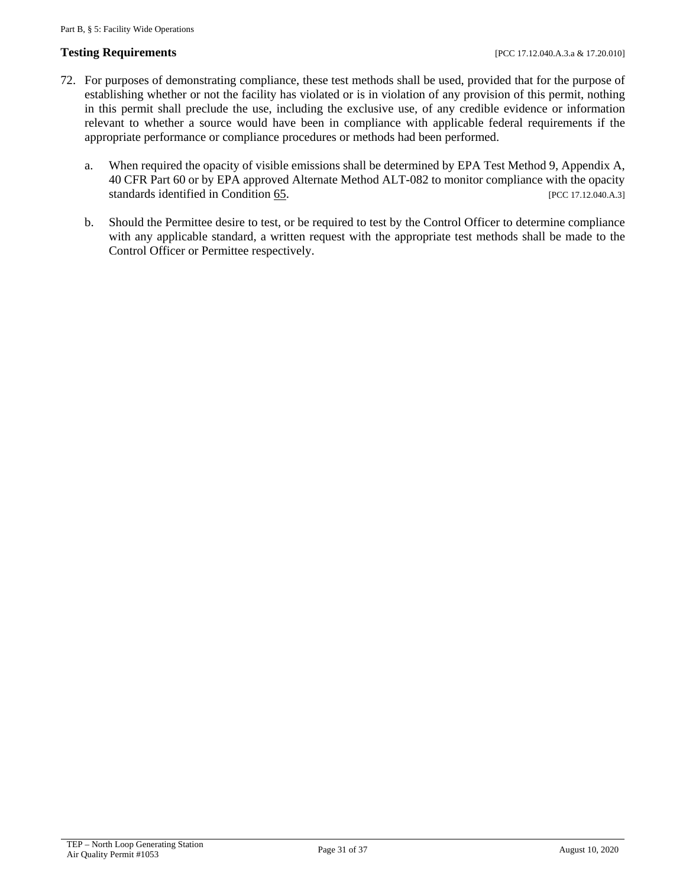#### **Testing Requirements** [PCC 17.12.040.A.3.a & 17.20.010]

- 72. For purposes of demonstrating compliance, these test methods shall be used, provided that for the purpose of establishing whether or not the facility has violated or is in violation of any provision of this permit, nothing in this permit shall preclude the use, including the exclusive use, of any credible evidence or information relevant to whether a source would have been in compliance with applicable federal requirements if the appropriate performance or compliance procedures or methods had been performed.
	- a. When required the opacity of visible emissions shall be determined by EPA Test Method 9, Appendix A, 40 CFR Part 60 or by EPA approved Alternate Method ALT-082 to monitor compliance with the opacity standards identified in Condition [65.](#page-28-1) [PCC 17.12.040.A.3]
	- b. Should the Permittee desire to test, or be required to test by the Control Officer to determine compliance with any applicable standard, a written request with the appropriate test methods shall be made to the Control Officer or Permittee respectively.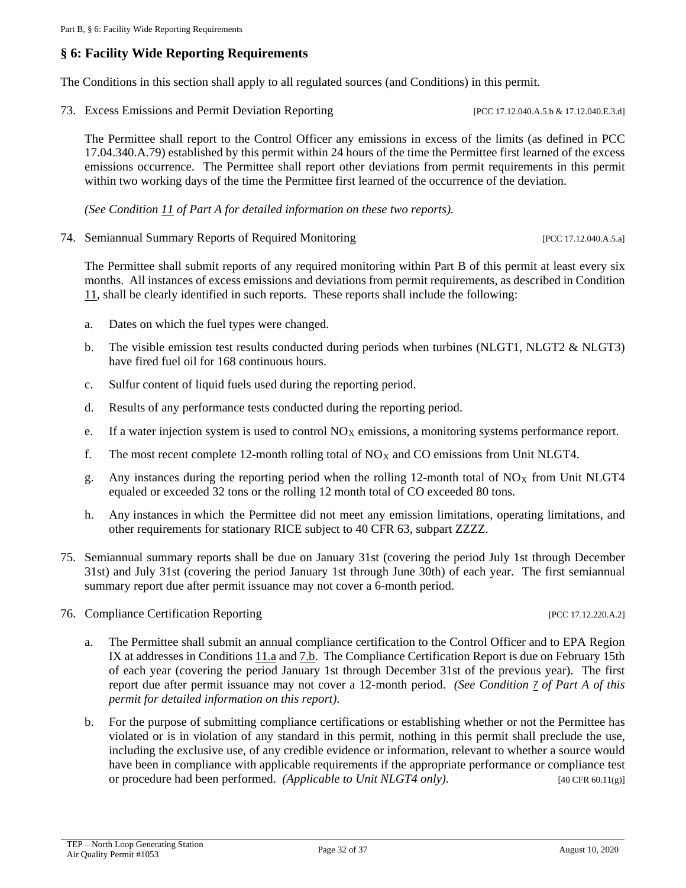# <span id="page-31-0"></span>**§ 6: Facility Wide Reporting Requirements**

The Conditions in this section shall apply to all regulated sources (and Conditions) in this permit.

<span id="page-31-2"></span>73. Excess Emissions and Permit Deviation Reporting [PCC 17.12.040.A.5.b & 17.12.040.E.3.d]

The Permittee shall report to the Control Officer any emissions in excess of the limits (as defined in PCC 17.04.340.A.79) established by this permit within 24 hours of the time the Permittee first learned of the excess emissions occurrence. The Permittee shall report other deviations from permit requirements in this permit within two working days of the time the Permittee first learned of the occurrence of the deviation.

*(See Condition [11](#page-6-2) of Part A for detailed information on these two reports).*

74. Semiannual Summary Reports of Required Monitoring [PCC 17.12.040.A.5.a]

The Permittee shall submit reports of any required monitoring within Part B of this permit at least every six months. All instances of excess emissions and deviations from permit requirements, as described in Condition [11,](#page-6-2) shall be clearly identified in such reports. These reports shall include the following:

- a. Dates on which the fuel types were changed.
- b. The visible emission test results conducted during periods when turbines (NLGT1, NLGT2 & NLGT3) have fired fuel oil for 168 continuous hours.
- c. Sulfur content of liquid fuels used during the reporting period.
- d. Results of any performance tests conducted during the reporting period.
- e. If a water injection system is used to control  $NO<sub>X</sub>$  emissions, a monitoring systems performance report.
- f. The most recent complete 12-month rolling total of  $NO<sub>X</sub>$  and CO emissions from Unit NLGT4.
- g. Any instances during the reporting period when the rolling 12-month total of  $NO<sub>X</sub>$  from Unit NLGT4 equaled or exceeded 32 tons or the rolling 12 month total of CO exceeded 80 tons.
- h. Any instances in which the Permittee did not meet any emission limitations, operating limitations, and other requirements for stationary RICE subject to 40 CFR 63, subpart ZZZZ.
- 75. Semiannual summary reports shall be due on January 31st (covering the period July 1st through December 31st) and July 31st (covering the period January 1st through June 30th) of each year. The first semiannual summary report due after permit issuance may not cover a 6-month period.
- <span id="page-31-1"></span>76. Compliance Certification Reporting [PCC 17.12.220.A.2]

- a. The Permittee shall submit an annual compliance certification to the Control Officer and to EPA Region IX at addresses in Conditions [11.a](#page-6-1) an[d 7.b.](#page-5-0) The Compliance Certification Report is due on February 15th of each year (covering the period January 1st through December 31st of the previous year). The first report due after permit issuance may not cover a 12-month period. *(See Condition [7](#page-4-1) of Part A of this permit for detailed information on this report)*.
- b. For the purpose of submitting compliance certifications or establishing whether or not the Permittee has violated or is in violation of any standard in this permit, nothing in this permit shall preclude the use, including the exclusive use, of any credible evidence or information, relevant to whether a source would have been in compliance with applicable requirements if the appropriate performance or compliance test or procedure had been performed. *(Applicable to Unit NLGT4 only)*. [40 CFR 60.11(g)]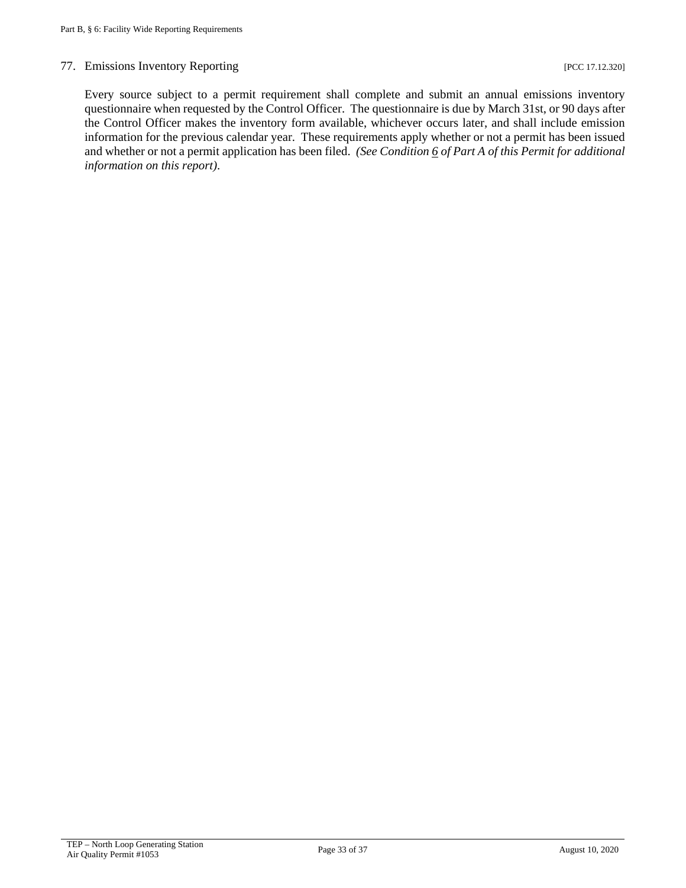#### 77. Emissions Inventory Reporting [PCC 17.12.320]

Every source subject to a permit requirement shall complete and submit an annual emissions inventory questionnaire when requested by the Control Officer. The questionnaire is due by March 31st, or 90 days after the Control Officer makes the inventory form available, whichever occurs later, and shall include emission information for the previous calendar year. These requirements apply whether or not a permit has been issued and whether or not a permit application has been filed. *(See Conditio[n 6](#page-4-2) of Part A of this Permit for additional information on this report)*.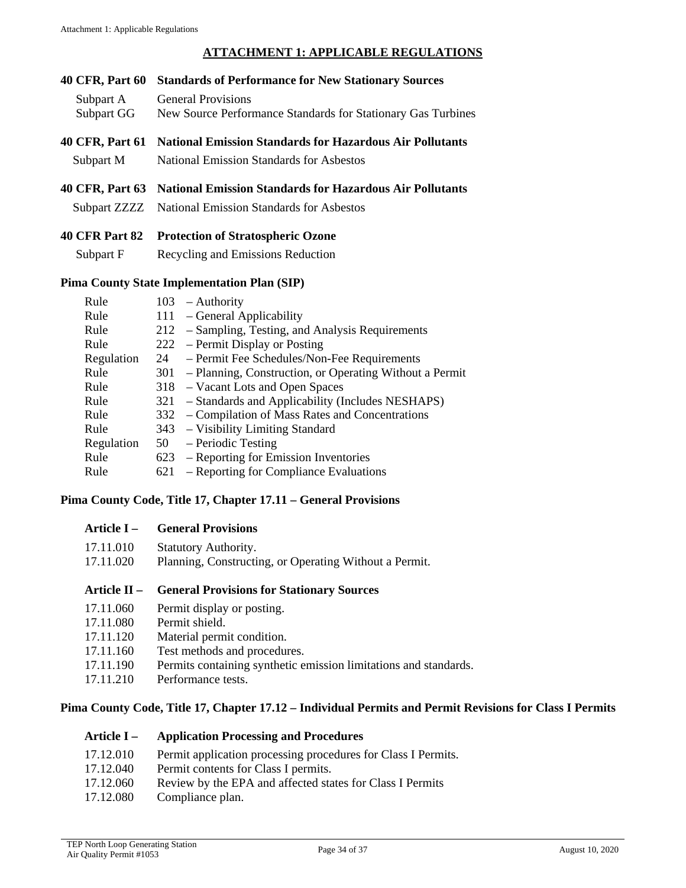#### **ATTACHMENT 1: APPLICABLE REGULATIONS**

- <span id="page-33-0"></span>**40 CFR, Part 60 Standards of Performance for New Stationary Sources** Subpart A General Provisions Subpart GG New Source Performance Standards for Stationary Gas Turbines **40 CFR, Part 61 National Emission Standards for Hazardous Air Pollutants** Subpart M National Emission Standards for Asbestos
- **40 CFR, Part 63 National Emission Standards for Hazardous Air Pollutants**
	- Subpart ZZZZ National Emission Standards for Asbestos
- **40 CFR Part 82 Protection of Stratospheric Ozone**
	- **Subpart F** Recycling and Emissions Reduction

#### **Pima County State Implementation Plan (SIP)**

| Rule       |    | $103$ – Authority                                           |
|------------|----|-------------------------------------------------------------|
| Rule       |    | 111 - General Applicability                                 |
| Rule       |    | 212 – Sampling, Testing, and Analysis Requirements          |
| Rule       |    | 222 – Permit Display or Posting                             |
| Regulation | 24 | - Permit Fee Schedules/Non-Fee Requirements                 |
| Rule       |    | 301 – Planning, Construction, or Operating Without a Permit |
| Rule       |    | 318 – Vacant Lots and Open Spaces                           |
| Rule       |    | 321 – Standards and Applicability (Includes NESHAPS)        |
| Rule       |    | 332 – Compilation of Mass Rates and Concentrations          |
| Rule       |    | 343 – Visibility Limiting Standard                          |
| Regulation |    | $50 - Periodic Testing$                                     |
| Rule       |    | 623 – Reporting for Emission Inventories                    |
| Rule       |    | 621 – Reporting for Compliance Evaluations                  |
|            |    |                                                             |

#### **Pima County Code, Title 17, Chapter 17.11 – General Provisions**

#### **Article I – General Provisions**

| 17.11.010 | <b>Statutory Authority.</b>                            |
|-----------|--------------------------------------------------------|
| 17.11.020 | Planning, Constructing, or Operating Without a Permit. |

#### **Article II – General Provisions for Stationary Sources**

- 17.11.060 Permit display or posting.
- 17.11.080 Permit shield.
- 17.11.120 Material permit condition.
- 17.11.160 Test methods and procedures.
- 17.11.190 Permits containing synthetic emission limitations and standards.
- 17.11.210 Performance tests.

#### **Pima County Code, Title 17, Chapter 17.12 – Individual Permits and Permit Revisions for Class I Permits**

#### **Article I – Application Processing and Procedures**

- 17.12.010 Permit application processing procedures for Class I Permits.
- 17.12.040 Permit contents for Class I permits.
- 17.12.060 Review by the EPA and affected states for Class I Permits
- 17.12.080 Compliance plan.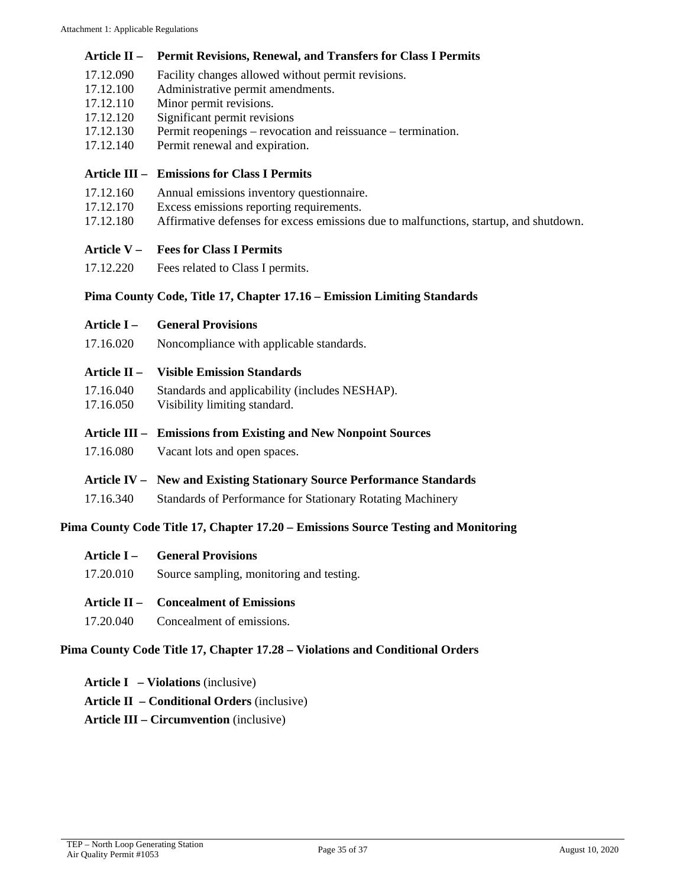#### **Article II – Permit Revisions, Renewal, and Transfers for Class I Permits**

- 17.12.090 Facility changes allowed without permit revisions.
- 17.12.100 Administrative permit amendments.
- 17.12.110 Minor permit revisions.
- 17.12.120 Significant permit revisions
- 17.12.130 Permit reopenings revocation and reissuance termination.
- 17.12.140 Permit renewal and expiration.

#### **Article III – Emissions for Class I Permits**

- 17.12.160 Annual emissions inventory questionnaire.
- 17.12.170 Excess emissions reporting requirements.
- 17.12.180 Affirmative defenses for excess emissions due to malfunctions, startup, and shutdown.

#### **Article V – Fees for Class I Permits**

17.12.220 Fees related to Class I permits.

#### **Pima County Code, Title 17, Chapter 17.16 – Emission Limiting Standards**

| Article I –    | <b>General Provisions</b>                                             |  |  |
|----------------|-----------------------------------------------------------------------|--|--|
| 17.16.020      | Noncompliance with applicable standards.                              |  |  |
| Article $II -$ | <b>Visible Emission Standards</b>                                     |  |  |
| 17.16.040      | Standards and applicability (includes NESHAP).                        |  |  |
| 17.16.050      | Visibility limiting standard.                                         |  |  |
|                |                                                                       |  |  |
|                | Article III – Emissions from Existing and New Nonpoint Sources        |  |  |
| 17.16.080      | Vacant lots and open spaces.                                          |  |  |
|                | Article IV – New and Existing Stationary Source Performance Standards |  |  |
| 17.16.340      | Standards of Performance for Stationary Rotating Machinery            |  |  |

#### **Pima County Code Title 17, Chapter 17.20 – Emissions Source Testing and Monitoring**

|           | <b>Article I – General Provisions</b>    |
|-----------|------------------------------------------|
| 17.20.010 | Source sampling, monitoring and testing. |

#### **Article II – Concealment of Emissions**

17.20.040 Concealment of emissions.

#### **Pima County Code Title 17, Chapter 17.28 – Violations and Conditional Orders**

- **Article I – Violations** (inclusive)
- **Article II – Conditional Orders** (inclusive)
- **Article III – Circumvention** (inclusive)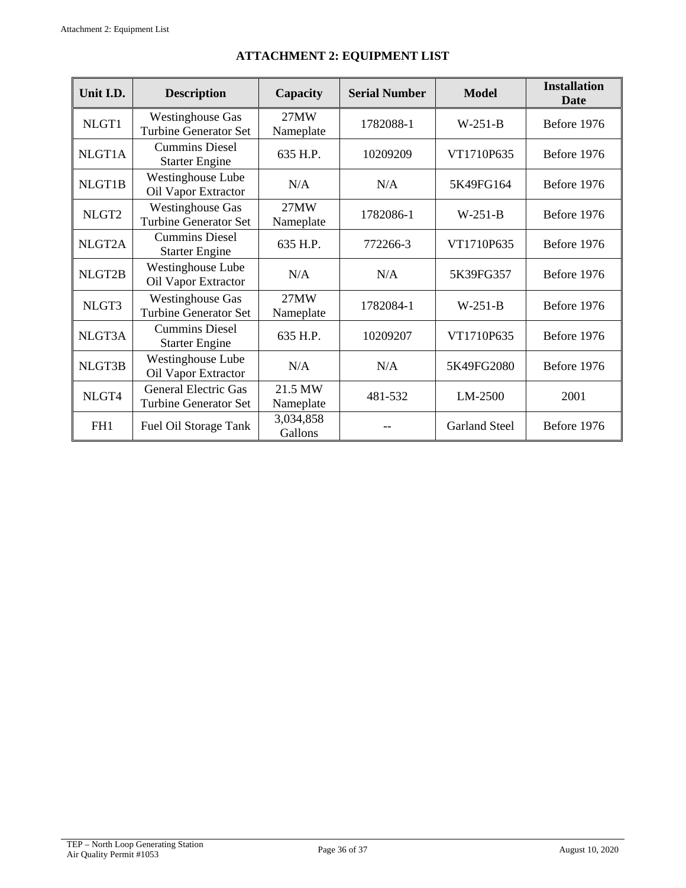<span id="page-35-1"></span><span id="page-35-0"></span>

| Unit I.D.         | <b>Description</b>                                          | Capacity             | <b>Serial Number</b> | <b>Model</b>         | <b>Installation</b><br><b>Date</b> |
|-------------------|-------------------------------------------------------------|----------------------|----------------------|----------------------|------------------------------------|
| NLGT1             | <b>Westinghouse Gas</b><br><b>Turbine Generator Set</b>     | 27MW<br>Nameplate    | 1782088-1            | $W-251-B$            | Before 1976                        |
| NLGT1A            | <b>Cummins Diesel</b><br><b>Starter Engine</b>              | 635 H.P.             | 10209209             | VT1710P635           | Before 1976                        |
| NLGT1B            | Westinghouse Lube<br>Oil Vapor Extractor                    | N/A                  | N/A                  | 5K49FG164            | Before 1976                        |
| NLGT <sub>2</sub> | <b>Westinghouse Gas</b><br><b>Turbine Generator Set</b>     | 27MW<br>Nameplate    | 1782086-1            | $W-251-B$            | Before 1976                        |
| NLGT2A            | <b>Cummins Diesel</b><br><b>Starter Engine</b>              | 635 H.P.             | 772266-3             | VT1710P635           | Before 1976                        |
| NLGT2B            | Westinghouse Lube<br>Oil Vapor Extractor                    | N/A                  | N/A                  | 5K39FG357            | Before 1976                        |
| NLGT3             | <b>Westinghouse Gas</b><br><b>Turbine Generator Set</b>     | 27MW<br>Nameplate    | 1782084-1            | $W-251-B$            | Before 1976                        |
| NLGT3A            | <b>Cummins Diesel</b><br><b>Starter Engine</b>              | 635 H.P.             | 10209207             | VT1710P635           | Before 1976                        |
| NLGT3B            | Westinghouse Lube<br>Oil Vapor Extractor                    | N/A                  | N/A                  | 5K49FG2080           | Before 1976                        |
| NLGT4             | <b>General Electric Gas</b><br><b>Turbine Generator Set</b> | 21.5 MW<br>Nameplate | 481-532              | LM-2500              | 2001                               |
| FH1               | Fuel Oil Storage Tank                                       | 3,034,858<br>Gallons |                      | <b>Garland Steel</b> | Before 1976                        |

# **ATTACHMENT 2: EQUIPMENT LIST**